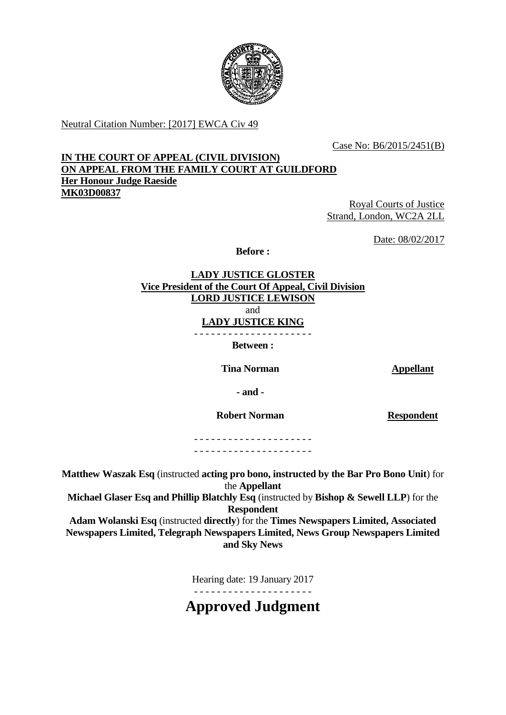

Neutral Citation Number: [2017] EWCA Civ 49

Case No: B6/2015/2451(B)

# **IN THE COURT OF APPEAL (CIVIL DIVISION) ON APPEAL FROM THE FAMILY COURT AT GUILDFORD Her Honour Judge Raeside MK03D00837**

Royal Courts of Justice Strand, London, WC2A 2LL

Date: 08/02/2017

**Before :**

**LADY JUSTICE GLOSTER Vice President of the Court Of Appeal, Civil Division LORD JUSTICE LEWISON** and **LADY JUSTICE KING** - - - - - - - - - - - - - - - - - - - - -

**Between :**

**Tina Norman Appellant** 

**- and -**

**Robert Norman Respondent**

- - - - - - - - - - - - - - - - - - - - - - - - - - - - - - - - - - - - - - - - - -

**Matthew Waszak Esq** (instructed **acting pro bono, instructed by the Bar Pro Bono Unit**) for the **Appellant**

**Michael Glaser Esq and Phillip Blatchly Esq** (instructed by **Bishop & Sewell LLP**) for the **Respondent**

**Adam Wolanski Esq** (instructed **directly**) for the **Times Newspapers Limited, Associated Newspapers Limited, Telegraph Newspapers Limited, News Group Newspapers Limited and Sky News**

Hearing date: 19 January 2017

- - - - - - - - - - - - - - - - - - - - -

**Approved Judgment**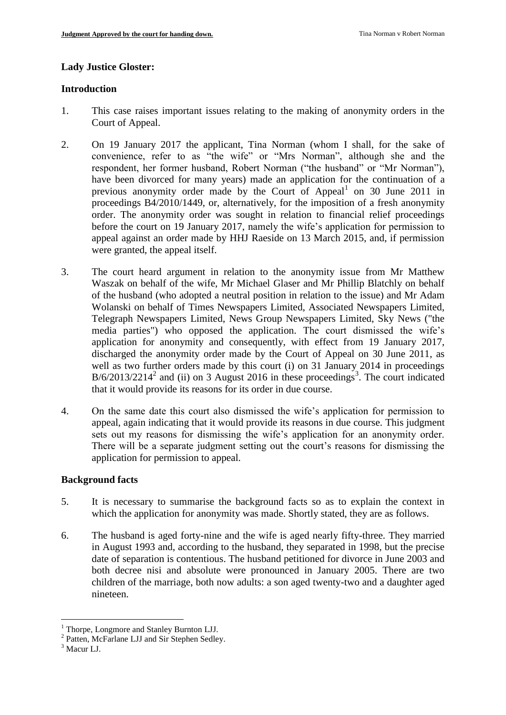#### **Lady Justice Gloster:**

#### **Introduction**

- 1. This case raises important issues relating to the making of anonymity orders in the Court of Appeal.
- 2. On 19 January 2017 the applicant, Tina Norman (whom I shall, for the sake of convenience, refer to as "the wife" or "Mrs Norman", although she and the respondent, her former husband, Robert Norman ("the husband" or "Mr Norman"), have been divorced for many years) made an application for the continuation of a previous anonymity order made by the Court of Appeal<sup>1</sup> on 30 June 2011 in proceedings B4/2010/1449, or, alternatively, for the imposition of a fresh anonymity order. The anonymity order was sought in relation to financial relief proceedings before the court on 19 January 2017, namely the wife's application for permission to appeal against an order made by HHJ Raeside on 13 March 2015, and, if permission were granted, the appeal itself.
- 3. The court heard argument in relation to the anonymity issue from Mr Matthew Waszak on behalf of the wife, Mr Michael Glaser and Mr Phillip Blatchly on behalf of the husband (who adopted a neutral position in relation to the issue) and Mr Adam Wolanski on behalf of Times Newspapers Limited, Associated Newspapers Limited, Telegraph Newspapers Limited, News Group Newspapers Limited, Sky News ("the media parties") who opposed the application. The court dismissed the wife's application for anonymity and consequently, with effect from 19 January 2017, discharged the anonymity order made by the Court of Appeal on 30 June 2011, as well as two further orders made by this court (i) on 31 January 2014 in proceedings  $B/6/2013/2214^2$  and (ii) on 3 August 2016 in these proceedings<sup>3</sup>. The court indicated that it would provide its reasons for its order in due course.
- 4. On the same date this court also dismissed the wife's application for permission to appeal, again indicating that it would provide its reasons in due course. This judgment sets out my reasons for dismissing the wife's application for an anonymity order. There will be a separate judgment setting out the court's reasons for dismissing the application for permission to appeal.

# **Background facts**

- 5. It is necessary to summarise the background facts so as to explain the context in which the application for anonymity was made. Shortly stated, they are as follows.
- 6. The husband is aged forty-nine and the wife is aged nearly fifty-three. They married in August 1993 and, according to the husband, they separated in 1998, but the precise date of separation is contentious. The husband petitioned for divorce in June 2003 and both decree nisi and absolute were pronounced in January 2005. There are two children of the marriage, both now adults: a son aged twenty-two and a daughter aged nineteen.

<u>.</u>

<sup>&</sup>lt;sup>1</sup> Thorpe, Longmore and Stanley Burnton LJJ.

<sup>&</sup>lt;sup>2</sup> Patten, McFarlane LJJ and Sir Stephen Sedley.

<sup>&</sup>lt;sup>3</sup> Macur LJ.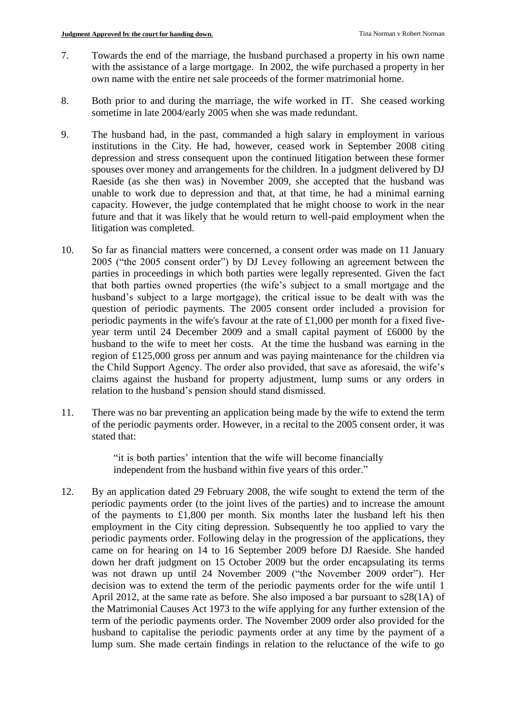- 7. Towards the end of the marriage, the husband purchased a property in his own name with the assistance of a large mortgage. In 2002, the wife purchased a property in her own name with the entire net sale proceeds of the former matrimonial home.
- 8. Both prior to and during the marriage, the wife worked in IT. She ceased working sometime in late 2004/early 2005 when she was made redundant.
- 9. The husband had, in the past, commanded a high salary in employment in various institutions in the City. He had, however, ceased work in September 2008 citing depression and stress consequent upon the continued litigation between these former spouses over money and arrangements for the children. In a judgment delivered by DJ Raeside (as she then was) in November 2009, she accepted that the husband was unable to work due to depression and that, at that time, he had a minimal earning capacity. However, the judge contemplated that he might choose to work in the near future and that it was likely that he would return to well-paid employment when the litigation was completed.
- 10. So far as financial matters were concerned, a consent order was made on 11 January 2005 ("the 2005 consent order") by DJ Levey following an agreement between the parties in proceedings in which both parties were legally represented. Given the fact that both parties owned properties (the wife's subject to a small mortgage and the husband's subject to a large mortgage), the critical issue to be dealt with was the question of periodic payments. The 2005 consent order included a provision for periodic payments in the wife's favour at the rate of £1,000 per month for a fixed fiveyear term until 24 December 2009 and a small capital payment of £6000 by the husband to the wife to meet her costs. At the time the husband was earning in the region of £125,000 gross per annum and was paying maintenance for the children via the Child Support Agency. The order also provided, that save as aforesaid, the wife's claims against the husband for property adjustment, lump sums or any orders in relation to the husband's pension should stand dismissed.
- 11. There was no bar preventing an application being made by the wife to extend the term of the periodic payments order. However, in a recital to the 2005 consent order, it was stated that:

"it is both parties' intention that the wife will become financially independent from the husband within five years of this order."

12. By an application dated 29 February 2008, the wife sought to extend the term of the periodic payments order (to the joint lives of the parties) and to increase the amount of the payments to £1,800 per month. Six months later the husband left his then employment in the City citing depression. Subsequently he too applied to vary the periodic payments order. Following delay in the progression of the applications, they came on for hearing on 14 to 16 September 2009 before DJ Raeside. She handed down her draft judgment on 15 October 2009 but the order encapsulating its terms was not drawn up until 24 November 2009 ("the November 2009 order"). Her decision was to extend the term of the periodic payments order for the wife until 1 April 2012, at the same rate as before. She also imposed a bar pursuant to s28(1A) of the Matrimonial Causes Act 1973 to the wife applying for any further extension of the term of the periodic payments order. The November 2009 order also provided for the husband to capitalise the periodic payments order at any time by the payment of a lump sum. She made certain findings in relation to the reluctance of the wife to go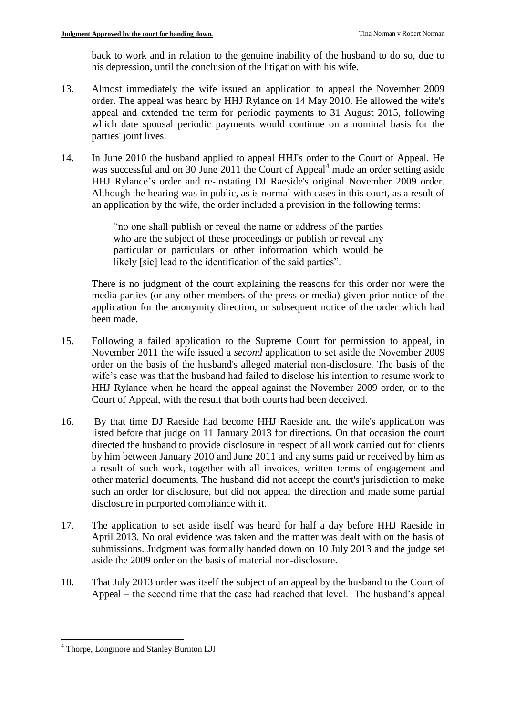back to work and in relation to the genuine inability of the husband to do so, due to his depression, until the conclusion of the litigation with his wife.

- 13. Almost immediately the wife issued an application to appeal the November 2009 order. The appeal was heard by HHJ Rylance on 14 May 2010. He allowed the wife's appeal and extended the term for periodic payments to 31 August 2015, following which date spousal periodic payments would continue on a nominal basis for the parties' joint lives.
- 14. In June 2010 the husband applied to appeal HHJ's order to the Court of Appeal. He was successful and on 30 June 2011 the Court of Appeal<sup>4</sup> made an order setting aside HHJ Rylance's order and re-instating DJ Raeside's original November 2009 order. Although the hearing was in public, as is normal with cases in this court, as a result of an application by the wife, the order included a provision in the following terms:

"no one shall publish or reveal the name or address of the parties who are the subject of these proceedings or publish or reveal any particular or particulars or other information which would be likely [sic] lead to the identification of the said parties".

There is no judgment of the court explaining the reasons for this order nor were the media parties (or any other members of the press or media) given prior notice of the application for the anonymity direction, or subsequent notice of the order which had been made.

- 15. Following a failed application to the Supreme Court for permission to appeal, in November 2011 the wife issued a *second* application to set aside the November 2009 order on the basis of the husband's alleged material non-disclosure. The basis of the wife's case was that the husband had failed to disclose his intention to resume work to HHJ Rylance when he heard the appeal against the November 2009 order, or to the Court of Appeal, with the result that both courts had been deceived.
- 16. By that time DJ Raeside had become HHJ Raeside and the wife's application was listed before that judge on 11 January 2013 for directions. On that occasion the court directed the husband to provide disclosure in respect of all work carried out for clients by him between January 2010 and June 2011 and any sums paid or received by him as a result of such work, together with all invoices, written terms of engagement and other material documents. The husband did not accept the court's jurisdiction to make such an order for disclosure, but did not appeal the direction and made some partial disclosure in purported compliance with it.
- 17. The application to set aside itself was heard for half a day before HHJ Raeside in April 2013. No oral evidence was taken and the matter was dealt with on the basis of submissions. Judgment was formally handed down on 10 July 2013 and the judge set aside the 2009 order on the basis of material non-disclosure.
- 18. That July 2013 order was itself the subject of an appeal by the husband to the Court of Appeal – the second time that the case had reached that level. The husband's appeal

<sup>1</sup> <sup>4</sup> Thorpe, Longmore and Stanley Burnton LJJ.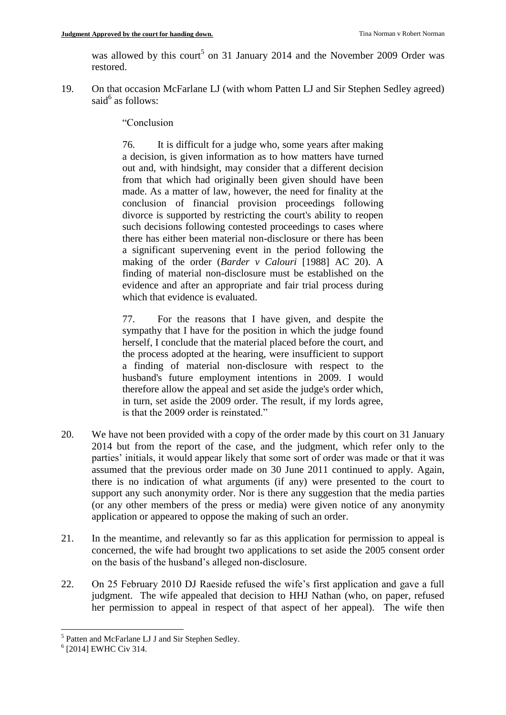was allowed by this court<sup>5</sup> on 31 January 2014 and the November 2009 Order was restored.

19. On that occasion McFarlane LJ (with whom Patten LJ and Sir Stephen Sedley agreed) said<sup>6</sup> as follows:

"Conclusion

76. It is difficult for a judge who, some years after making a decision, is given information as to how matters have turned out and, with hindsight, may consider that a different decision from that which had originally been given should have been made. As a matter of law, however, the need for finality at the conclusion of financial provision proceedings following divorce is supported by restricting the court's ability to reopen such decisions following contested proceedings to cases where there has either been material non-disclosure or there has been a significant supervening event in the period following the making of the order (*Barder v Calouri* [1988] AC 20). A finding of material non-disclosure must be established on the evidence and after an appropriate and fair trial process during which that evidence is evaluated.

77. For the reasons that I have given, and despite the sympathy that I have for the position in which the judge found herself, I conclude that the material placed before the court, and the process adopted at the hearing, were insufficient to support a finding of material non-disclosure with respect to the husband's future employment intentions in 2009. I would therefore allow the appeal and set aside the judge's order which, in turn, set aside the 2009 order. The result, if my lords agree, is that the 2009 order is reinstated."

- 20. We have not been provided with a copy of the order made by this court on 31 January 2014 but from the report of the case, and the judgment, which refer only to the parties' initials, it would appear likely that some sort of order was made or that it was assumed that the previous order made on 30 June 2011 continued to apply. Again, there is no indication of what arguments (if any) were presented to the court to support any such anonymity order. Nor is there any suggestion that the media parties (or any other members of the press or media) were given notice of any anonymity application or appeared to oppose the making of such an order.
- 21. In the meantime, and relevantly so far as this application for permission to appeal is concerned, the wife had brought two applications to set aside the 2005 consent order on the basis of the husband's alleged non-disclosure.
- 22. On 25 February 2010 DJ Raeside refused the wife's first application and gave a full judgment. The wife appealed that decision to HHJ Nathan (who, on paper, refused her permission to appeal in respect of that aspect of her appeal). The wife then

<sup>&</sup>lt;u>.</u> <sup>5</sup> Patten and McFarlane LJ J and Sir Stephen Sedley.

<sup>6</sup> [2014] EWHC Civ 314.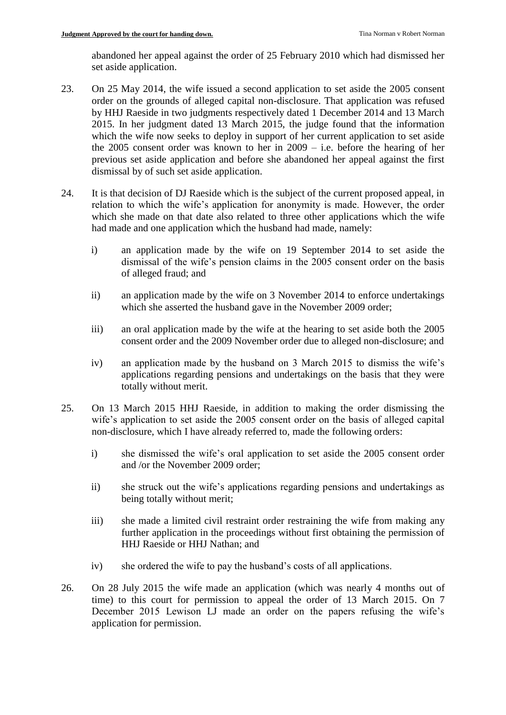abandoned her appeal against the order of 25 February 2010 which had dismissed her set aside application.

- 23. On 25 May 2014, the wife issued a second application to set aside the 2005 consent order on the grounds of alleged capital non-disclosure. That application was refused by HHJ Raeside in two judgments respectively dated 1 December 2014 and 13 March 2015. In her judgment dated 13 March 2015, the judge found that the information which the wife now seeks to deploy in support of her current application to set aside the 2005 consent order was known to her in 2009 – i.e. before the hearing of her previous set aside application and before she abandoned her appeal against the first dismissal by of such set aside application.
- 24. It is that decision of DJ Raeside which is the subject of the current proposed appeal, in relation to which the wife's application for anonymity is made. However, the order which she made on that date also related to three other applications which the wife had made and one application which the husband had made, namely:
	- i) an application made by the wife on 19 September 2014 to set aside the dismissal of the wife's pension claims in the 2005 consent order on the basis of alleged fraud; and
	- ii) an application made by the wife on 3 November 2014 to enforce undertakings which she asserted the husband gave in the November 2009 order;
	- iii) an oral application made by the wife at the hearing to set aside both the 2005 consent order and the 2009 November order due to alleged non-disclosure; and
	- iv) an application made by the husband on 3 March 2015 to dismiss the wife's applications regarding pensions and undertakings on the basis that they were totally without merit.
- 25. On 13 March 2015 HHJ Raeside, in addition to making the order dismissing the wife's application to set aside the 2005 consent order on the basis of alleged capital non-disclosure, which I have already referred to, made the following orders:
	- i) she dismissed the wife's oral application to set aside the 2005 consent order and /or the November 2009 order;
	- ii) she struck out the wife's applications regarding pensions and undertakings as being totally without merit;
	- iii) she made a limited civil restraint order restraining the wife from making any further application in the proceedings without first obtaining the permission of HHJ Raeside or HHJ Nathan; and
	- iv) she ordered the wife to pay the husband's costs of all applications.
- 26. On 28 July 2015 the wife made an application (which was nearly 4 months out of time) to this court for permission to appeal the order of 13 March 2015. On 7 December 2015 Lewison LJ made an order on the papers refusing the wife's application for permission.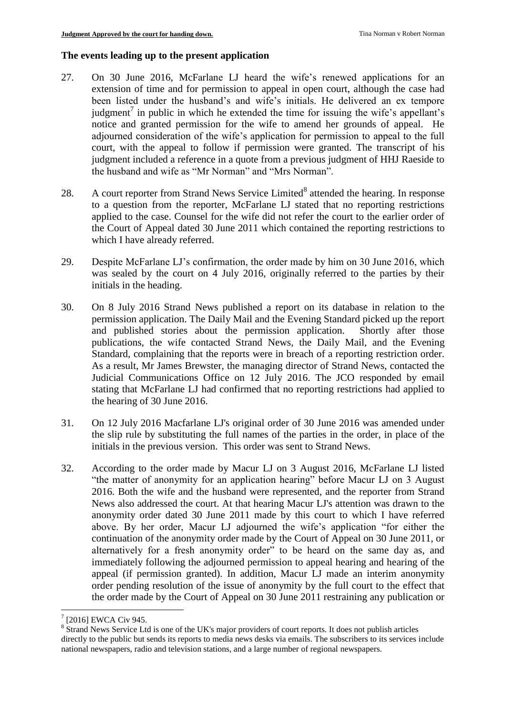# **The events leading up to the present application**

- 27. On 30 June 2016, McFarlane LJ heard the wife's renewed applications for an extension of time and for permission to appeal in open court, although the case had been listed under the husband's and wife's initials. He delivered an ex tempore judgment<sup>7</sup> in public in which he extended the time for issuing the wife's appellant's notice and granted permission for the wife to amend her grounds of appeal. He adjourned consideration of the wife's application for permission to appeal to the full court, with the appeal to follow if permission were granted. The transcript of his judgment included a reference in a quote from a previous judgment of HHJ Raeside to the husband and wife as "Mr Norman" and "Mrs Norman".
- 28. A court reporter from Strand News Service Limited<sup>8</sup> attended the hearing. In response to a question from the reporter, McFarlane LJ stated that no reporting restrictions applied to the case. Counsel for the wife did not refer the court to the earlier order of the Court of Appeal dated 30 June 2011 which contained the reporting restrictions to which I have already referred.
- 29. Despite McFarlane LJ's confirmation, the order made by him on 30 June 2016, which was sealed by the court on 4 July 2016, originally referred to the parties by their initials in the heading.
- 30. On 8 July 2016 Strand News published a report on its database in relation to the permission application. The Daily Mail and the Evening Standard picked up the report and published stories about the permission application. Shortly after those publications, the wife contacted Strand News, the Daily Mail, and the Evening Standard, complaining that the reports were in breach of a reporting restriction order. As a result, Mr James Brewster, the managing director of Strand News, contacted the Judicial Communications Office on 12 July 2016. The JCO responded by email stating that McFarlane LJ had confirmed that no reporting restrictions had applied to the hearing of 30 June 2016.
- 31. On 12 July 2016 Macfarlane LJ's original order of 30 June 2016 was amended under the slip rule by substituting the full names of the parties in the order, in place of the initials in the previous version. This order was sent to Strand News.
- 32. According to the order made by Macur LJ on 3 August 2016, McFarlane LJ listed "the matter of anonymity for an application hearing" before Macur LJ on 3 August 2016. Both the wife and the husband were represented, and the reporter from Strand News also addressed the court. At that hearing Macur LJ's attention was drawn to the anonymity order dated 30 June 2011 made by this court to which I have referred above. By her order, Macur LJ adjourned the wife's application "for either the continuation of the anonymity order made by the Court of Appeal on 30 June 2011, or alternatively for a fresh anonymity order" to be heard on the same day as, and immediately following the adjourned permission to appeal hearing and hearing of the appeal (if permission granted). In addition, Macur LJ made an interim anonymity order pending resolution of the issue of anonymity by the full court to the effect that the order made by the Court of Appeal on 30 June 2011 restraining any publication or

1

 $7$  [2016] EWCA Civ 945.

<sup>&</sup>lt;sup>8</sup> Strand News Service Ltd is one of the UK's major providers of court reports. It does not publish articles directly to the public but sends its reports to media news desks via emails. The subscribers to its services include national newspapers, radio and television stations, and a large number of regional newspapers.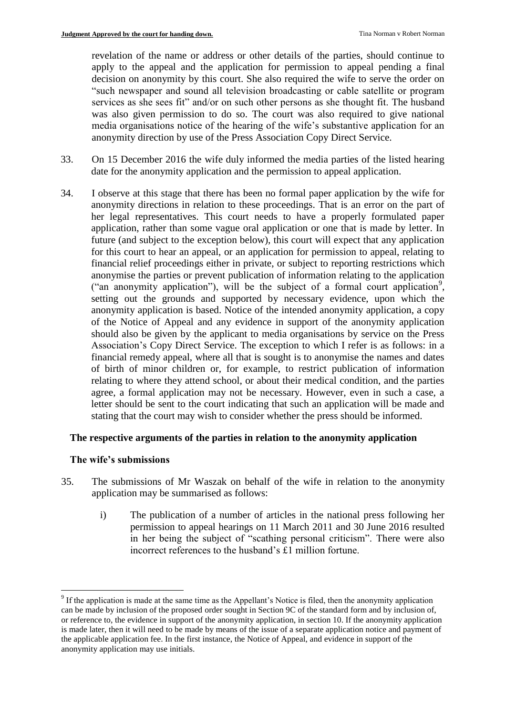revelation of the name or address or other details of the parties, should continue to apply to the appeal and the application for permission to appeal pending a final decision on anonymity by this court. She also required the wife to serve the order on "such newspaper and sound all television broadcasting or cable satellite or program services as she sees fit" and/or on such other persons as she thought fit. The husband was also given permission to do so. The court was also required to give national media organisations notice of the hearing of the wife's substantive application for an anonymity direction by use of the Press Association Copy Direct Service.

- 33. On 15 December 2016 the wife duly informed the media parties of the listed hearing date for the anonymity application and the permission to appeal application.
- 34. I observe at this stage that there has been no formal paper application by the wife for anonymity directions in relation to these proceedings. That is an error on the part of her legal representatives. This court needs to have a properly formulated paper application, rather than some vague oral application or one that is made by letter. In future (and subject to the exception below), this court will expect that any application for this court to hear an appeal, or an application for permission to appeal, relating to financial relief proceedings either in private, or subject to reporting restrictions which anonymise the parties or prevent publication of information relating to the application ("an anonymity application"), will be the subject of a formal court application<sup>9</sup>, setting out the grounds and supported by necessary evidence, upon which the anonymity application is based. Notice of the intended anonymity application, a copy of the Notice of Appeal and any evidence in support of the anonymity application should also be given by the applicant to media organisations by service on the Press Association's Copy Direct Service. The exception to which I refer is as follows: in a financial remedy appeal, where all that is sought is to anonymise the names and dates of birth of minor children or, for example, to restrict publication of information relating to where they attend school, or about their medical condition, and the parties agree, a formal application may not be necessary. However, even in such a case, a letter should be sent to the court indicating that such an application will be made and stating that the court may wish to consider whether the press should be informed.

### **The respective arguments of the parties in relation to the anonymity application**

#### **The wife's submissions**

1

- 35. The submissions of Mr Waszak on behalf of the wife in relation to the anonymity application may be summarised as follows:
	- i) The publication of a number of articles in the national press following her permission to appeal hearings on 11 March 2011 and 30 June 2016 resulted in her being the subject of "scathing personal criticism". There were also incorrect references to the husband's £1 million fortune.

<sup>&</sup>lt;sup>9</sup> If the application is made at the same time as the Appellant's Notice is filed, then the anonymity application can be made by inclusion of the proposed order sought in Section 9C of the standard form and by inclusion of, or reference to, the evidence in support of the anonymity application, in section 10. If the anonymity application is made later, then it will need to be made by means of the issue of a separate application notice and payment of the applicable application fee. In the first instance, the Notice of Appeal, and evidence in support of the anonymity application may use initials.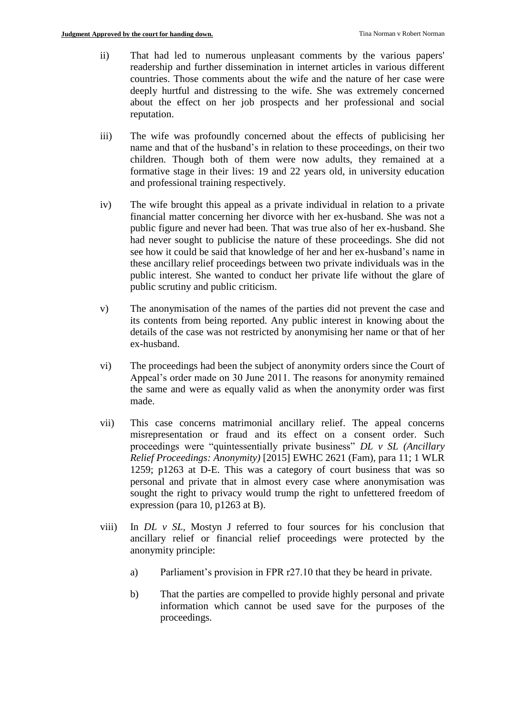- ii) That had led to numerous unpleasant comments by the various papers' readership and further dissemination in internet articles in various different countries. Those comments about the wife and the nature of her case were deeply hurtful and distressing to the wife. She was extremely concerned about the effect on her job prospects and her professional and social reputation.
- iii) The wife was profoundly concerned about the effects of publicising her name and that of the husband's in relation to these proceedings, on their two children. Though both of them were now adults, they remained at a formative stage in their lives: 19 and 22 years old, in university education and professional training respectively.
- iv) The wife brought this appeal as a private individual in relation to a private financial matter concerning her divorce with her ex-husband. She was not a public figure and never had been. That was true also of her ex-husband. She had never sought to publicise the nature of these proceedings. She did not see how it could be said that knowledge of her and her ex-husband's name in these ancillary relief proceedings between two private individuals was in the public interest. She wanted to conduct her private life without the glare of public scrutiny and public criticism.
- v) The anonymisation of the names of the parties did not prevent the case and its contents from being reported. Any public interest in knowing about the details of the case was not restricted by anonymising her name or that of her ex-husband.
- vi) The proceedings had been the subject of anonymity orders since the Court of Appeal's order made on 30 June 2011. The reasons for anonymity remained the same and were as equally valid as when the anonymity order was first made.
- vii) This case concerns matrimonial ancillary relief. The appeal concerns misrepresentation or fraud and its effect on a consent order. Such proceedings were "quintessentially private business" *DL v SL (Ancillary Relief Proceedings: Anonymity)* [2015] EWHC 2621 (Fam), para 11; 1 WLR 1259; p1263 at D-E. This was a category of court business that was so personal and private that in almost every case where anonymisation was sought the right to privacy would trump the right to unfettered freedom of expression (para 10, p1263 at B).
- viii) In *DL v SL*, Mostyn J referred to four sources for his conclusion that ancillary relief or financial relief proceedings were protected by the anonymity principle:
	- a) Parliament's provision in FPR r27.10 that they be heard in private.
	- b) That the parties are compelled to provide highly personal and private information which cannot be used save for the purposes of the proceedings.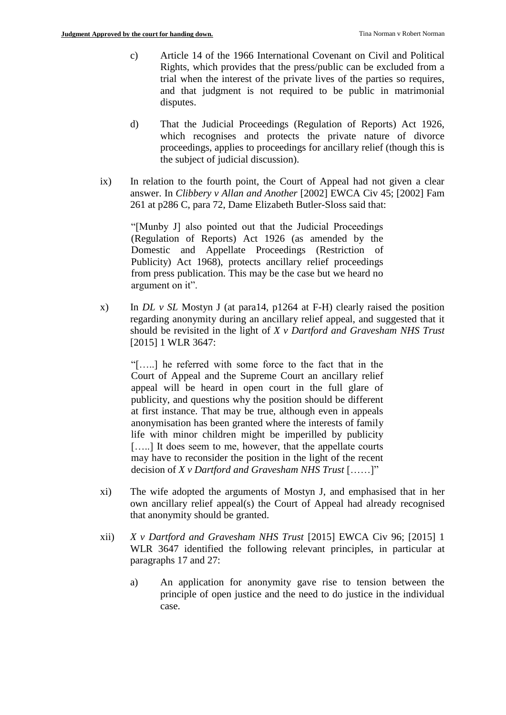- c) Article 14 of the 1966 International Covenant on Civil and Political Rights, which provides that the press/public can be excluded from a trial when the interest of the private lives of the parties so requires, and that judgment is not required to be public in matrimonial disputes.
- d) That the Judicial Proceedings (Regulation of Reports) Act 1926, which recognises and protects the private nature of divorce proceedings, applies to proceedings for ancillary relief (though this is the subject of judicial discussion).
- ix) In relation to the fourth point, the Court of Appeal had not given a clear answer. In *Clibbery v Allan and Another* [2002] EWCA Civ 45; [2002] Fam 261 at p286 C, para 72, Dame Elizabeth Butler-Sloss said that:

"[Munby J] also pointed out that the Judicial Proceedings (Regulation of Reports) Act 1926 (as amended by the Domestic and Appellate Proceedings (Restriction of Publicity) Act 1968), protects ancillary relief proceedings from press publication. This may be the case but we heard no argument on it".

x) In *DL v SL* Mostyn J (at para14, p1264 at F-H) clearly raised the position regarding anonymity during an ancillary relief appeal, and suggested that it should be revisited in the light of *X v Dartford and Gravesham NHS Trust* [2015] 1 WLR 3647:

"[…..] he referred with some force to the fact that in the Court of Appeal and the Supreme Court an ancillary relief appeal will be heard in open court in the full glare of publicity, and questions why the position should be different at first instance. That may be true, although even in appeals anonymisation has been granted where the interests of family life with minor children might be imperilled by publicity [.....] It does seem to me, however, that the appellate courts may have to reconsider the position in the light of the recent decision of *X v Dartford and Gravesham NHS Trust* [……]"

- xi) The wife adopted the arguments of Mostyn J, and emphasised that in her own ancillary relief appeal(s) the Court of Appeal had already recognised that anonymity should be granted.
- xii) *X v Dartford and Gravesham NHS Trust* [2015] EWCA Civ 96; [2015] 1 WLR 3647 identified the following relevant principles, in particular at paragraphs 17 and 27:
	- a) An application for anonymity gave rise to tension between the principle of open justice and the need to do justice in the individual case.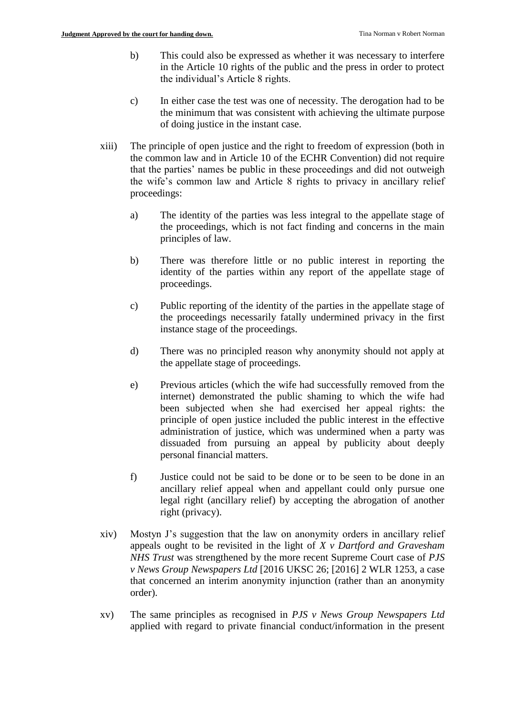- b) This could also be expressed as whether it was necessary to interfere in the Article 10 rights of the public and the press in order to protect the individual's Article 8 rights.
- c) In either case the test was one of necessity. The derogation had to be the minimum that was consistent with achieving the ultimate purpose of doing justice in the instant case.
- xiii) The principle of open justice and the right to freedom of expression (both in the common law and in Article 10 of the ECHR Convention) did not require that the parties' names be public in these proceedings and did not outweigh the wife's common law and Article 8 rights to privacy in ancillary relief proceedings:
	- a) The identity of the parties was less integral to the appellate stage of the proceedings, which is not fact finding and concerns in the main principles of law.
	- b) There was therefore little or no public interest in reporting the identity of the parties within any report of the appellate stage of proceedings.
	- c) Public reporting of the identity of the parties in the appellate stage of the proceedings necessarily fatally undermined privacy in the first instance stage of the proceedings.
	- d) There was no principled reason why anonymity should not apply at the appellate stage of proceedings.
	- e) Previous articles (which the wife had successfully removed from the internet) demonstrated the public shaming to which the wife had been subjected when she had exercised her appeal rights: the principle of open justice included the public interest in the effective administration of justice, which was undermined when a party was dissuaded from pursuing an appeal by publicity about deeply personal financial matters.
	- f) Justice could not be said to be done or to be seen to be done in an ancillary relief appeal when and appellant could only pursue one legal right (ancillary relief) by accepting the abrogation of another right (privacy).
- xiv) Mostyn J's suggestion that the law on anonymity orders in ancillary relief appeals ought to be revisited in the light of *X v Dartford and Gravesham NHS Trust* was strengthened by the more recent Supreme Court case of *PJS v News Group Newspapers Ltd* [2016 UKSC 26; [2016] 2 WLR 1253, a case that concerned an interim anonymity injunction (rather than an anonymity order).
- xv) The same principles as recognised in *PJS v News Group Newspapers Ltd*  applied with regard to private financial conduct/information in the present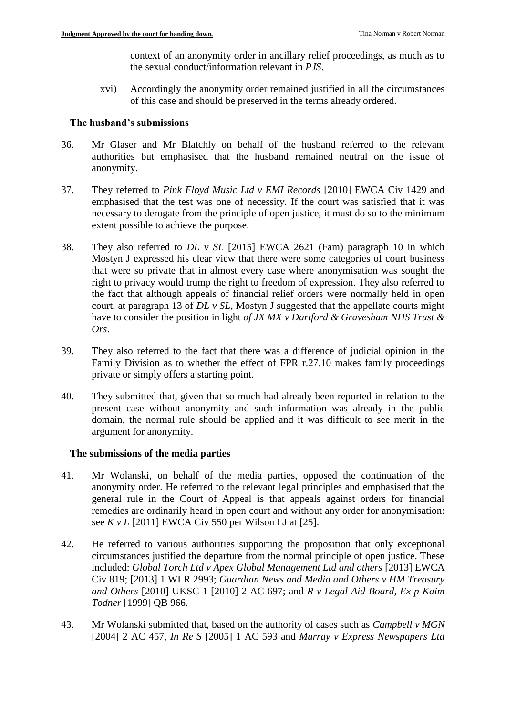context of an anonymity order in ancillary relief proceedings, as much as to the sexual conduct/information relevant in *PJS*.

xvi) Accordingly the anonymity order remained justified in all the circumstances of this case and should be preserved in the terms already ordered.

#### **The husband's submissions**

- 36. Mr Glaser and Mr Blatchly on behalf of the husband referred to the relevant authorities but emphasised that the husband remained neutral on the issue of anonymity.
- 37. They referred to *Pink Floyd Music Ltd v EMI Records* [2010] EWCA Civ 1429 and emphasised that the test was one of necessity. If the court was satisfied that it was necessary to derogate from the principle of open justice, it must do so to the minimum extent possible to achieve the purpose.
- 38. They also referred to *DL v SL* [2015] EWCA 2621 (Fam) paragraph 10 in which Mostyn J expressed his clear view that there were some categories of court business that were so private that in almost every case where anonymisation was sought the right to privacy would trump the right to freedom of expression. They also referred to the fact that although appeals of financial relief orders were normally held in open court, at paragraph 13 of *DL v SL,* Mostyn J suggested that the appellate courts might have to consider the position in light *of JX MX v Dartford & Gravesham NHS Trust & Ors*.
- 39. They also referred to the fact that there was a difference of judicial opinion in the Family Division as to whether the effect of FPR r.27.10 makes family proceedings private or simply offers a starting point.
- 40. They submitted that, given that so much had already been reported in relation to the present case without anonymity and such information was already in the public domain, the normal rule should be applied and it was difficult to see merit in the argument for anonymity.

### **The submissions of the media parties**

- 41. Mr Wolanski, on behalf of the media parties, opposed the continuation of the anonymity order. He referred to the relevant legal principles and emphasised that the general rule in the Court of Appeal is that appeals against orders for financial remedies are ordinarily heard in open court and without any order for anonymisation: see *K v L* [2011] EWCA Civ 550 per Wilson LJ at [25].
- 42. He referred to various authorities supporting the proposition that only exceptional circumstances justified the departure from the normal principle of open justice. These included: *Global Torch Ltd v Apex Global Management Ltd and others* [2013] EWCA Civ 819; [2013] 1 WLR 2993; *Guardian News and Media and Others v HM Treasury and Others* [2010] UKSC 1 [2010] 2 AC 697; and *R v Legal Aid Board, Ex p Kaim Todner* [1999] QB 966.
- 43. Mr Wolanski submitted that, based on the authority of cases such as *Campbell v MGN* [2004] 2 AC 457, *In Re S* [2005] 1 AC 593 and *Murray v Express Newspapers Ltd*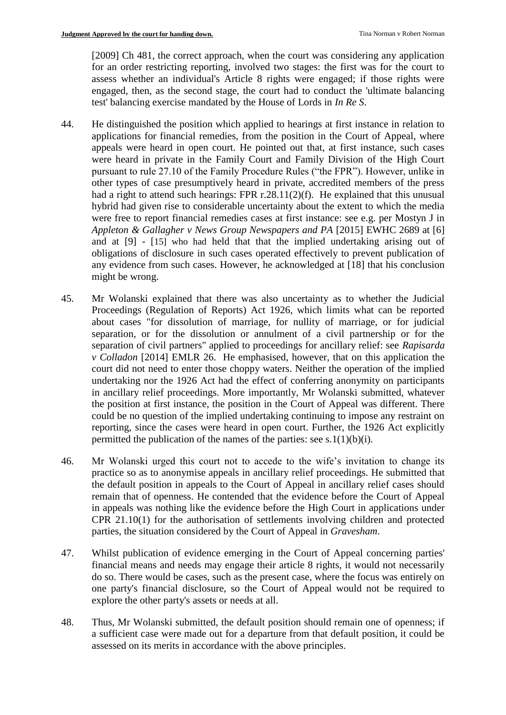[2009] Ch 481, the correct approach, when the court was considering any application for an order restricting reporting, involved two stages: the first was for the court to assess whether an individual's Article 8 rights were engaged; if those rights were engaged, then, as the second stage, the court had to conduct the 'ultimate balancing test' balancing exercise mandated by the House of Lords in *In Re S*.

- 44. He distinguished the position which applied to hearings at first instance in relation to applications for financial remedies, from the position in the Court of Appeal, where appeals were heard in open court. He pointed out that, at first instance, such cases were heard in private in the Family Court and Family Division of the High Court pursuant to rule 27.10 of the Family Procedure Rules ("the FPR"). However, unlike in other types of case presumptively heard in private, accredited members of the press had a right to attend such hearings: FPR r.28.11(2)(f). He explained that this unusual hybrid had given rise to considerable uncertainty about the extent to which the media were free to report financial remedies cases at first instance: see e.g. per Mostyn J in *Appleton & Gallagher v News Group Newspapers and PA* [2015] EWHC 2689 at [6] and at [9] - [15] who had held that that the implied undertaking arising out of obligations of disclosure in such cases operated effectively to prevent publication of any evidence from such cases. However, he acknowledged at [18] that his conclusion might be wrong.
- 45. Mr Wolanski explained that there was also uncertainty as to whether the Judicial Proceedings (Regulation of Reports) Act 1926, which limits what can be reported about cases "for dissolution of marriage, for nullity of marriage, or for judicial separation, or for the dissolution or annulment of a civil partnership or for the separation of civil partners" applied to proceedings for ancillary relief: see *Rapisarda v Colladon* [2014] EMLR 26. He emphasised, however, that on this application the court did not need to enter those choppy waters. Neither the operation of the implied undertaking nor the 1926 Act had the effect of conferring anonymity on participants in ancillary relief proceedings. More importantly, Mr Wolanski submitted, whatever the position at first instance, the position in the Court of Appeal was different. There could be no question of the implied undertaking continuing to impose any restraint on reporting, since the cases were heard in open court. Further, the 1926 Act explicitly permitted the publication of the names of the parties: see s.1(1)(b)(i).
- 46. Mr Wolanski urged this court not to accede to the wife's invitation to change its practice so as to anonymise appeals in ancillary relief proceedings. He submitted that the default position in appeals to the Court of Appeal in ancillary relief cases should remain that of openness. He contended that the evidence before the Court of Appeal in appeals was nothing like the evidence before the High Court in applications under CPR 21.10(1) for the authorisation of settlements involving children and protected parties, the situation considered by the Court of Appeal in *Gravesham*.
- 47. Whilst publication of evidence emerging in the Court of Appeal concerning parties' financial means and needs may engage their article 8 rights, it would not necessarily do so. There would be cases, such as the present case, where the focus was entirely on one party's financial disclosure, so the Court of Appeal would not be required to explore the other party's assets or needs at all.
- 48. Thus, Mr Wolanski submitted, the default position should remain one of openness; if a sufficient case were made out for a departure from that default position, it could be assessed on its merits in accordance with the above principles.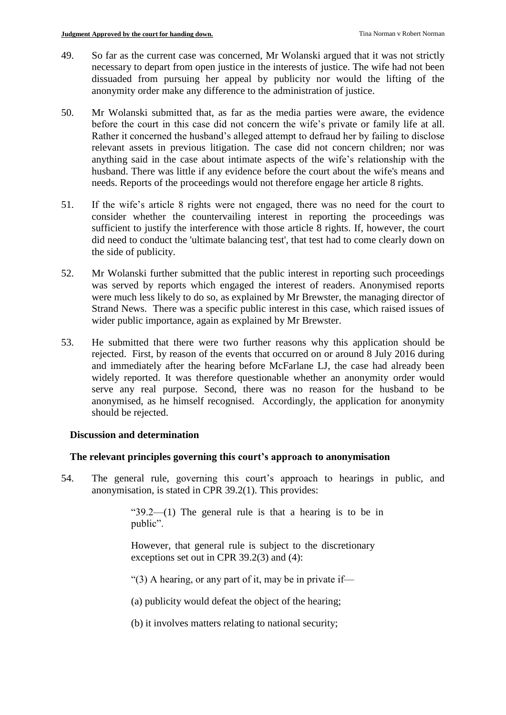- 49. So far as the current case was concerned, Mr Wolanski argued that it was not strictly necessary to depart from open justice in the interests of justice. The wife had not been dissuaded from pursuing her appeal by publicity nor would the lifting of the anonymity order make any difference to the administration of justice.
- 50. Mr Wolanski submitted that, as far as the media parties were aware, the evidence before the court in this case did not concern the wife's private or family life at all. Rather it concerned the husband's alleged attempt to defraud her by failing to disclose relevant assets in previous litigation. The case did not concern children; nor was anything said in the case about intimate aspects of the wife's relationship with the husband. There was little if any evidence before the court about the wife's means and needs. Reports of the proceedings would not therefore engage her article 8 rights.
- 51. If the wife's article 8 rights were not engaged, there was no need for the court to consider whether the countervailing interest in reporting the proceedings was sufficient to justify the interference with those article 8 rights. If, however, the court did need to conduct the 'ultimate balancing test', that test had to come clearly down on the side of publicity.
- 52. Mr Wolanski further submitted that the public interest in reporting such proceedings was served by reports which engaged the interest of readers. Anonymised reports were much less likely to do so, as explained by Mr Brewster, the managing director of Strand News. There was a specific public interest in this case, which raised issues of wider public importance, again as explained by Mr Brewster.
- 53. He submitted that there were two further reasons why this application should be rejected. First, by reason of the events that occurred on or around 8 July 2016 during and immediately after the hearing before McFarlane LJ, the case had already been widely reported. It was therefore questionable whether an anonymity order would serve any real purpose. Second, there was no reason for the husband to be anonymised, as he himself recognised. Accordingly, the application for anonymity should be rejected.

### **Discussion and determination**

### **The relevant principles governing this court's approach to anonymisation**

54. The general rule, governing this court's approach to hearings in public, and anonymisation, is stated in CPR 39.2(1). This provides:

> " $39.2$ — $(1)$  The general rule is that a hearing is to be in public".

However, that general rule is subject to the discretionary exceptions set out in CPR 39.2(3) and (4):

"(3) A hearing, or any part of it, may be in private if-

(a) publicity would defeat the object of the hearing;

(b) it involves matters relating to national security;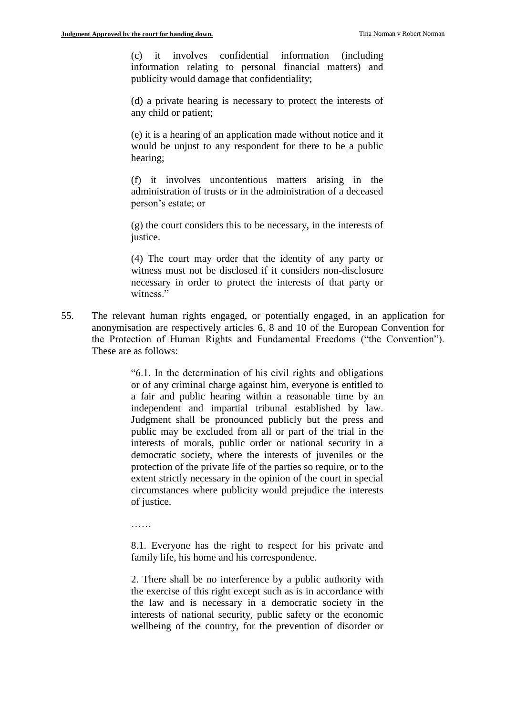(c) it involves confidential information (including information relating to personal financial matters) and publicity would damage that confidentiality;

(d) a private hearing is necessary to protect the interests of any child or patient;

(e) it is a hearing of an application made without notice and it would be unjust to any respondent for there to be a public hearing;

(f) it involves uncontentious matters arising in the administration of trusts or in the administration of a deceased person's estate; or

(g) the court considers this to be necessary, in the interests of justice.

(4) The court may order that the identity of any party or witness must not be disclosed if it considers non-disclosure necessary in order to protect the interests of that party or witness<sup>"</sup>

55. The relevant human rights engaged, or potentially engaged, in an application for anonymisation are respectively articles 6, 8 and 10 of the European Convention for the Protection of Human Rights and Fundamental Freedoms ("the Convention"). These are as follows:

> "6.1. In the determination of his civil rights and obligations or of any criminal charge against him, everyone is entitled to a fair and public hearing within a reasonable time by an independent and impartial tribunal established by law. Judgment shall be pronounced publicly but the press and public may be excluded from all or part of the trial in the interests of morals, public order or national security in a democratic society, where the interests of juveniles or the protection of the private life of the parties so require, or to the extent strictly necessary in the opinion of the court in special circumstances where publicity would prejudice the interests of justice.

……

8.1. Everyone has the right to respect for his private and family life, his home and his correspondence.

2. There shall be no interference by a public authority with the exercise of this right except such as is in accordance with the law and is necessary in a democratic society in the interests of national security, public safety or the economic wellbeing of the country, for the prevention of disorder or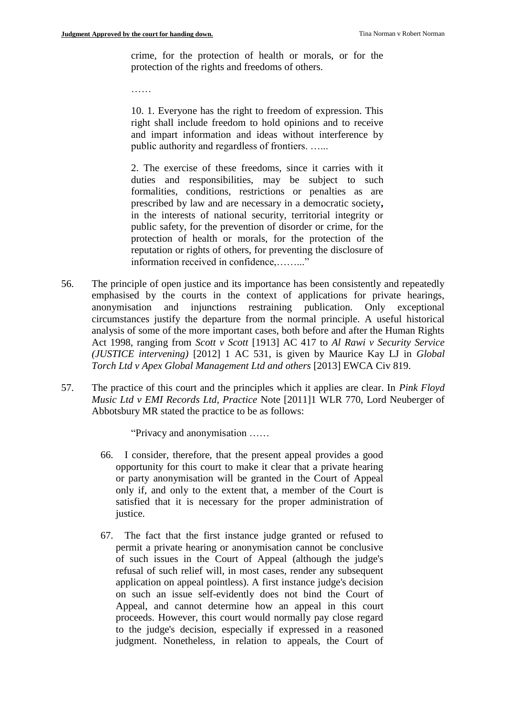crime, for the protection of health or morals, or for the protection of the rights and freedoms of others.

……

10. 1. Everyone has the right to freedom of expression. This right shall include freedom to hold opinions and to receive and impart information and ideas without interference by public authority and regardless of frontiers. …...

2. The exercise of these freedoms, since it carries with it duties and responsibilities, may be subject to such formalities, conditions, restrictions or penalties as are prescribed by law and are necessary in a democratic society**,**  in the interests of national security, territorial integrity or public safety, for the prevention of disorder or crime, for the protection of health or morals, for the protection of the reputation or rights of others, for preventing the disclosure of information received in confidence,........."

- 56. The principle of open justice and its importance has been consistently and repeatedly emphasised by the courts in the context of applications for private hearings, anonymisation and injunctions restraining publication. Only exceptional circumstances justify the departure from the normal principle. A useful historical analysis of some of the more important cases, both before and after the Human Rights Act 1998, ranging from *Scott v Scott* [1913] AC 417 to *Al Rawi v Security Service (JUSTICE intervening)* [2012] 1 AC 531, is given by Maurice Kay LJ in *Global Torch Ltd v Apex Global Management Ltd and others* [2013] EWCA Civ 819.
- 57. The practice of this court and the principles which it applies are clear. In *Pink Floyd Music Ltd v EMI Records Ltd, Practice* Note [2011]1 WLR 770, Lord Neuberger of Abbotsbury MR stated the practice to be as follows:

"Privacy and anonymisation ……

- 66. I consider, therefore, that the present appeal provides a good opportunity for this court to make it clear that a private hearing or party anonymisation will be granted in the Court of Appeal only if, and only to the extent that, a member of the Court is satisfied that it is necessary for the proper administration of justice.
- 67. The fact that the first instance judge granted or refused to permit a private hearing or anonymisation cannot be conclusive of such issues in the Court of Appeal (although the judge's refusal of such relief will, in most cases, render any subsequent application on appeal pointless). A first instance judge's decision on such an issue self-evidently does not bind the Court of Appeal, and cannot determine how an appeal in this court proceeds. However, this court would normally pay close regard to the judge's decision, especially if expressed in a reasoned judgment. Nonetheless, in relation to appeals, the Court of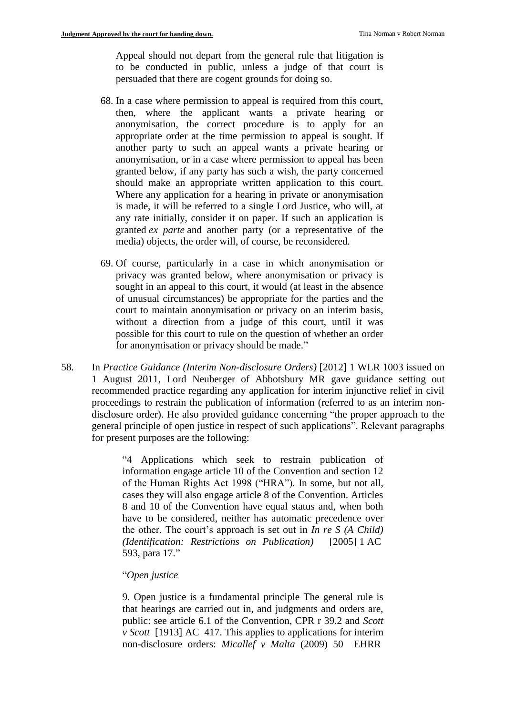Appeal should not depart from the general rule that litigation is to be conducted in public, unless a judge of that court is persuaded that there are cogent grounds for doing so.

- 68. In a case where permission to appeal is required from this court, then, where the applicant wants a private hearing or anonymisation, the correct procedure is to apply for an appropriate order at the time permission to appeal is sought. If another party to such an appeal wants a private hearing or anonymisation, or in a case where permission to appeal has been granted below, if any party has such a wish, the party concerned should make an appropriate written application to this court. Where any application for a hearing in private or anonymisation is made, it will be referred to a single Lord Justice, who will, at any rate initially, consider it on paper. If such an application is granted *ex parte* and another party (or a representative of the media) objects, the order will, of course, be reconsidered.
- 69. Of course, particularly in a case in which anonymisation or privacy was granted below, where anonymisation or privacy is sought in an appeal to this court, it would (at least in the absence of unusual circumstances) be appropriate for the parties and the court to maintain anonymisation or privacy on an interim basis, without a direction from a judge of this court, until it was possible for this court to rule on the question of whether an order for anonymisation or privacy should be made."
- 58. In *Practice Guidance (Interim Non-disclosure Orders)* [2012] 1 WLR 1003 issued on 1 August 2011, Lord Neuberger of Abbotsbury MR gave guidance setting out recommended practice regarding any application for interim injunctive relief in civil proceedings to restrain the publication of information (referred to as an interim nondisclosure order). He also provided guidance concerning "the proper approach to the general principle of open justice in respect of such applications". Relevant paragraphs for present purposes are the following:

"4 Applications which seek to restrain publication of information engage article 10 of the Convention and section 12 of the Human Rights Act 1998 ("HRA"). In some, but not all, cases they will also engage article 8 of the Convention. Articles 8 and 10 of the Convention have equal status and, when both have to be considered, neither has automatic precedence over the other. The court's approach is set out in *In re S (A Child) (Identification: Restrictions on Publication)* [\[2005\]](http://cases.iclr.co.uk/index_mobile/gateway.aspx?f=pubref&ref=%5b2005%5d%201%20AC%20593&nxtid=XAC2005-1-593&t=caseview-frame.htm) 1 AC [593,](http://cases.iclr.co.uk/index_mobile/gateway.aspx?f=pubref&ref=%5b2005%5d%201%20AC%20593&nxtid=XAC2005-1-593&t=caseview-frame.htm) para 17."

#### "*Open justice*

9. Open justice is a fundamental principle The general rule is that hearings are carried out in, and judgments and orders are, public: see article 6.1 of the Convention, CPR r 39.2 and *Scott v Scott* [\[1913\] AC](http://cases.iclr.co.uk/index_mobile/gateway.aspx?f=pubref&ref=%5b1913%5d%201%20AC%20417&nxtid=XAC1913-1-417&t=caseview-frame.htm) 417. This applies to applications for interim non-disclosure orders: *Micallef v Malta* (2009) 50 EHRR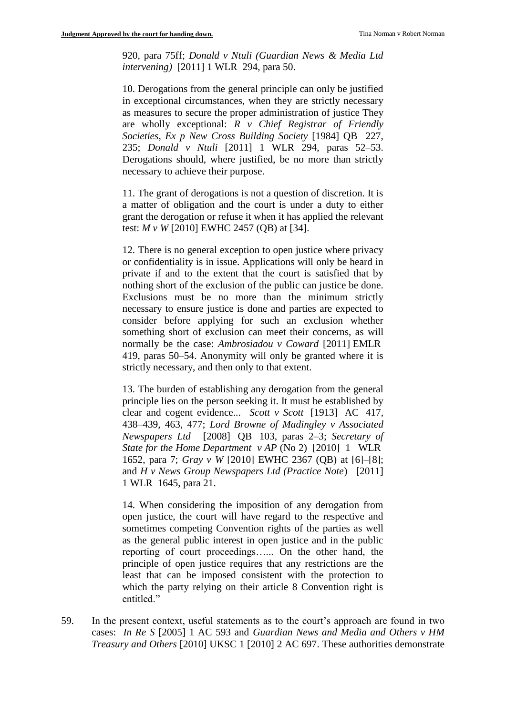920, para 75ff; *Donald v Ntuli (Guardian News & Media Ltd intervening)* [\[2011\] 1](http://cases.iclr.co.uk/index_mobile/gateway.aspx?f=pubref&ref=%5b2011%5d%201%20WLR%20294&nxtid=XWLR2011-1-294&t=caseview-frame.htm) WLR 294, para 50.

10. Derogations from the general principle can only be justified in exceptional circumstances, when they are strictly necessary as measures to secure the proper administration of justice They are wholly exceptional: *R v Chief Registrar of Friendly Societies, Ex p New Cross Building Society* [1984] QB 227, 235; *Donald v Ntuli* [2011] 1 WLR 294, paras 52–53. Derogations should, where justified, be no more than strictly necessary to achieve their purpose.

11. The grant of derogations is not a question of discretion. It is a matter of obligation and the court is under a duty to either grant the derogation or refuse it when it has applied the relevant test: *M v W* [2010] EWHC 2457 (QB) at [34].

12. There is no general exception to open justice where privacy or confidentiality is in issue. Applications will only be heard in private if and to the extent that the court is satisfied that by nothing short of the exclusion of the public can justice be done. Exclusions must be no more than the minimum strictly necessary to ensure justice is done and parties are expected to consider before applying for such an exclusion whether something short of exclusion can meet their concerns, as will normally be the case: *Ambrosiadou v Coward* [2011] EMLR 419, paras 50–54. Anonymity will only be granted where it is strictly necessary, and then only to that extent.

13. The burden of establishing any derogation from the general principle lies on the person seeking it. It must be established by clear and cogent evidence... *Scott v Scott* [\[1913\] AC](http://cases.iclr.co.uk/index_mobile/gateway.aspx?f=pubref&ref=%5b1913%5d%201%20AC%20417&nxtid=XAC1913-1-417&t=caseview-frame.htm) 417, 438–439, 463, 477; *Lord Browne of Madingley v Associated Newspapers Ltd* [\[2008\] QB](http://cases.iclr.co.uk/index_mobile/gateway.aspx?f=pubref&ref=%5b2008%5d%20QB%20103&nxtid=XQB2008-1-103&t=caseview-frame.htm) 103, paras 2–3; *Secretary of State for the Home Department v AP* (No 2) [\[2010\] 1](http://cases.iclr.co.uk/index_mobile/gateway.aspx?f=pubref&ref=%5b2010%5d%201%20WLR%201652&nxtid=XWLR2010-1-1652&t=caseview-frame.htm) WLR [1652,](http://cases.iclr.co.uk/index_mobile/gateway.aspx?f=pubref&ref=%5b2010%5d%201%20WLR%201652&nxtid=XWLR2010-1-1652&t=caseview-frame.htm) para 7; *Gray v W* [2010] EWHC 2367 (QB) at [6]–[8]; and *H v News Group Newspapers Ltd (Practice Note*) [\[2011\]](http://cases.iclr.co.uk/index_mobile/gateway.aspx?f=pubref&ref=%5b2011%5d%201%20WLR%201645&nxtid=XWLR2011-1-1645&t=caseview-frame.htm)  1 [WLR](http://cases.iclr.co.uk/index_mobile/gateway.aspx?f=pubref&ref=%5b2011%5d%201%20WLR%201645&nxtid=XWLR2011-1-1645&t=caseview-frame.htm) 1645, para 21.

14. When considering the imposition of any derogation from open justice, the court will have regard to the respective and sometimes competing Convention rights of the parties as well as the general public interest in open justice and in the public reporting of court proceedings…... On the other hand, the principle of open justice requires that any restrictions are the least that can be imposed consistent with the protection to which the party relying on their article 8 Convention right is entitled."

59. In the present context, useful statements as to the court's approach are found in two cases: *In Re S* [2005] 1 AC 593 and *Guardian News and Media and Others v HM Treasury and Others* [2010] UKSC 1 [2010] 2 AC 697. These authorities demonstrate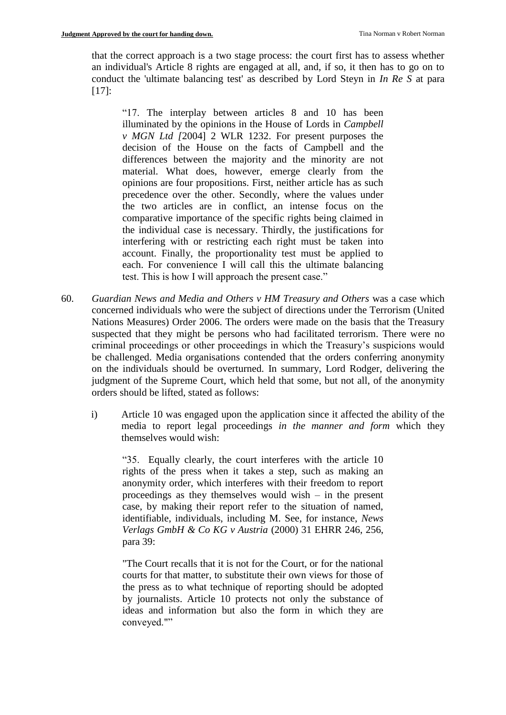that the correct approach is a two stage process: the court first has to assess whether an individual's Article 8 rights are engaged at all, and, if so, it then has to go on to conduct the 'ultimate balancing test' as described by Lord Steyn in *In Re S* at para  $[17]$ :

"17. The interplay between articles 8 and 10 has been illuminated by the opinions in the House of Lords in *Campbell v MGN Ltd [*2004] 2 WLR 1232. For present purposes the decision of the House on the facts of Campbell and the differences between the majority and the minority are not material. What does, however, emerge clearly from the opinions are four propositions. First, neither article has as such precedence over the other. Secondly, where the values under the two articles are in conflict, an intense focus on the comparative importance of the specific rights being claimed in the individual case is necessary. Thirdly, the justifications for interfering with or restricting each right must be taken into account. Finally, the proportionality test must be applied to each. For convenience I will call this the ultimate balancing test. This is how I will approach the present case."

- 60. *Guardian News and Media and Others v HM Treasury and Others* was a case which concerned individuals who were the subject of directions under the Terrorism (United Nations Measures) Order 2006. The orders were made on the basis that the Treasury suspected that they might be persons who had facilitated terrorism. There were no criminal proceedings or other proceedings in which the Treasury's suspicions would be challenged. Media organisations contended that the orders conferring anonymity on the individuals should be overturned. In summary, Lord Rodger, delivering the judgment of the Supreme Court, which held that some, but not all, of the anonymity orders should be lifted, stated as follows:
	- i) Article 10 was engaged upon the application since it affected the ability of the media to report legal proceedings *in the manner and form* which they themselves would wish:

"35. Equally clearly, the court interferes with the article 10 rights of the press when it takes a step, such as making an anonymity order, which interferes with their freedom to report proceedings as they themselves would wish – in the present case, by making their report refer to the situation of named, identifiable, individuals, including M. See, for instance, *News Verlags GmbH & Co KG v Austria* (2000) 31 EHRR 246, 256, para 39:

"The Court recalls that it is not for the Court, or for the national courts for that matter, to substitute their own views for those of the press as to what technique of reporting should be adopted by journalists. Article 10 protects not only the substance of ideas and information but also the form in which they are conveyed.""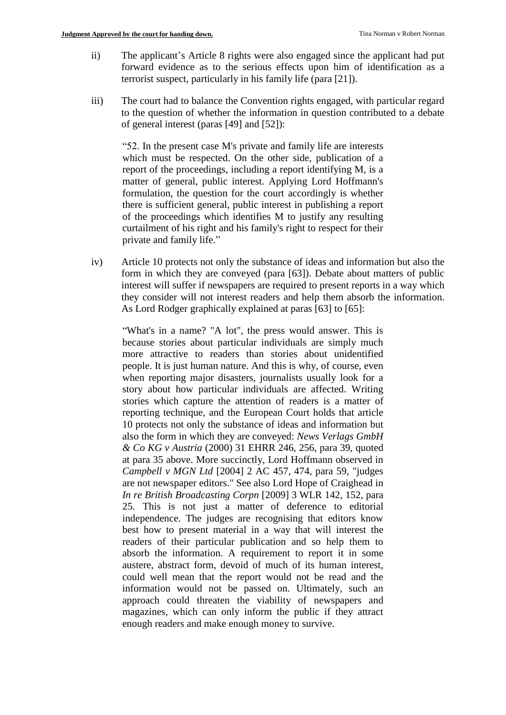- ii) The applicant's Article 8 rights were also engaged since the applicant had put forward evidence as to the serious effects upon him of identification as a terrorist suspect, particularly in his family life (para [21]).
- iii) The court had to balance the Convention rights engaged, with particular regard to the question of whether the information in question contributed to a debate of general interest (paras [49] and [52]):

"52. In the present case M's private and family life are interests which must be respected. On the other side, publication of a report of the proceedings, including a report identifying M, is a matter of general, public interest. Applying Lord Hoffmann's formulation, the question for the court accordingly is whether there is sufficient general, public interest in publishing a report of the proceedings which identifies M to justify any resulting curtailment of his right and his family's right to respect for their private and family life."

iv) Article 10 protects not only the substance of ideas and information but also the form in which they are conveyed (para [63]). Debate about matters of public interest will suffer if newspapers are required to present reports in a way which they consider will not interest readers and help them absorb the information. As Lord Rodger graphically explained at paras [63] to [65]:

"What's in a name? "A lot", the press would answer. This is because stories about particular individuals are simply much more attractive to readers than stories about unidentified people. It is just human nature. And this is why, of course, even when reporting major disasters, journalists usually look for a story about how particular individuals are affected. Writing stories which capture the attention of readers is a matter of reporting technique, and the European Court holds that article 10 protects not only the substance of ideas and information but also the form in which they are conveyed: *News Verlags GmbH & Co KG v Austria* (2000) 31 EHRR 246, 256, para 39, quoted at para 35 above. More succinctly, Lord Hoffmann observed in *Campbell v MGN Ltd* [2004] 2 AC 457, 474, para 59, "judges are not newspaper editors." See also Lord Hope of Craighead in *In re British Broadcasting Corpn* [2009] 3 WLR 142, 152, para 25. This is not just a matter of deference to editorial independence. The judges are recognising that editors know best how to present material in a way that will interest the readers of their particular publication and so help them to absorb the information. A requirement to report it in some austere, abstract form, devoid of much of its human interest, could well mean that the report would not be read and the information would not be passed on. Ultimately, such an approach could threaten the viability of newspapers and magazines, which can only inform the public if they attract enough readers and make enough money to survive.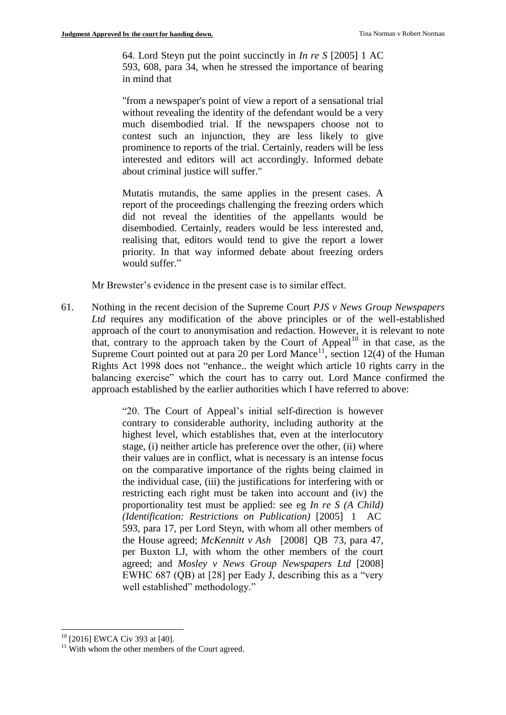64. Lord Steyn put the point succinctly in *In re S* [2005] 1 AC 593, 608, para 34, when he stressed the importance of bearing in mind that

"from a newspaper's point of view a report of a sensational trial without revealing the identity of the defendant would be a very much disembodied trial. If the newspapers choose not to contest such an injunction, they are less likely to give prominence to reports of the trial. Certainly, readers will be less interested and editors will act accordingly. Informed debate about criminal justice will suffer."

Mutatis mutandis, the same applies in the present cases. A report of the proceedings challenging the freezing orders which did not reveal the identities of the appellants would be disembodied. Certainly, readers would be less interested and, realising that, editors would tend to give the report a lower priority. In that way informed debate about freezing orders would suffer."

Mr Brewster's evidence in the present case is to similar effect.

61. Nothing in the recent decision of the Supreme Court *PJS v News Group Newspapers Ltd* requires any modification of the above principles or of the well-established approach of the court to anonymisation and redaction. However, it is relevant to note that, contrary to the approach taken by the Court of Appeal<sup>10</sup> in that case, as the Supreme Court pointed out at para 20 per Lord Mance<sup>11</sup>, section 12(4) of the Human Rights Act 1998 does not "enhance.. the weight which article 10 rights carry in the balancing exercise" which the court has to carry out. Lord Mance confirmed the approach established by the earlier authorities which I have referred to above:

> "20. The Court of Appeal's initial self-direction is however contrary to considerable authority, including authority at the highest level, which establishes that, even at the interlocutory stage, (i) neither article has preference over the other, (ii) where their values are in conflict, what is necessary is an intense focus on the comparative importance of the rights being claimed in the individual case, (iii) the justifications for interfering with or restricting each right must be taken into account and (iv) the proportionality test must be applied: see eg *In re S (A Child) (Identification: Restrictions on Publication)* [\[2005\] 1](http://cases.iclr.co.uk/index_mobile/gateway.aspx?f=pubref&ref=%5b2005%5d%201%20AC%20593&nxtid=XAC2005-1-593&t=caseview-frame.htm) AC [593,](http://cases.iclr.co.uk/index_mobile/gateway.aspx?f=pubref&ref=%5b2005%5d%201%20AC%20593&nxtid=XAC2005-1-593&t=caseview-frame.htm) para 17, per Lord Steyn, with whom all other members of the House agreed; *McKennitt v Ash* [\[2008\] QB](http://cases.iclr.co.uk/index_mobile/gateway.aspx?f=pubref&ref=%5b2008%5d%20QB%2073&nxtid=XQB2008-1-73&t=caseview-frame.htm) 73, para 47, per Buxton LJ, with whom the other members of the court agreed; and *Mosley v News Group Newspapers Ltd* [2008] EWHC 687 (QB) at [28] per Eady J, describing this as a "very well established" methodology."

<sup>&</sup>lt;u>.</u> <sup>10</sup> [2016] EWCA Civ 393 at [40].

 $11$  With whom the other members of the Court agreed.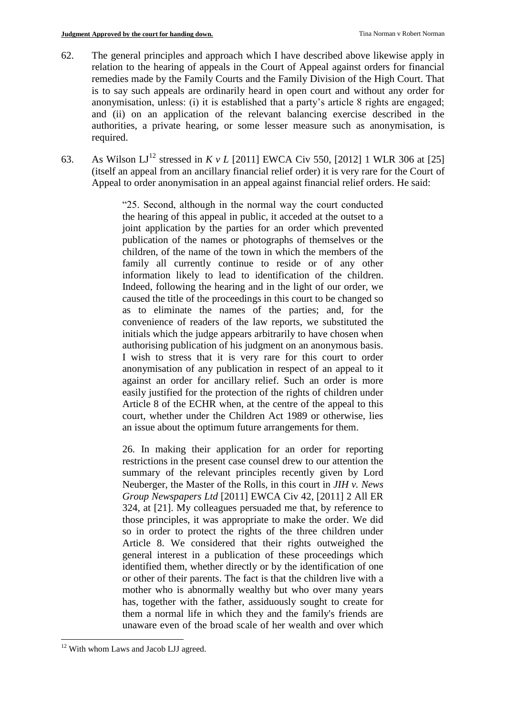- 62. The general principles and approach which I have described above likewise apply in relation to the hearing of appeals in the Court of Appeal against orders for financial remedies made by the Family Courts and the Family Division of the High Court. That is to say such appeals are ordinarily heard in open court and without any order for anonymisation, unless: (i) it is established that a party's article 8 rights are engaged; and (ii) on an application of the relevant balancing exercise described in the authorities, a private hearing, or some lesser measure such as anonymisation, is required.
- 63. As Wilson LJ<sup>12</sup> stressed in *K v L* [2011] EWCA Civ 550, [2012] 1 WLR 306 at [25] (itself an appeal from an ancillary financial relief order) it is very rare for the Court of Appeal to order anonymisation in an appeal against financial relief orders. He said:

"25. Second, although in the normal way the court conducted the hearing of this appeal in public, it acceded at the outset to a joint application by the parties for an order which prevented publication of the names or photographs of themselves or the children, of the name of the town in which the members of the family all currently continue to reside or of any other information likely to lead to identification of the children. Indeed, following the hearing and in the light of our order, we caused the title of the proceedings in this court to be changed so as to eliminate the names of the parties; and, for the convenience of readers of the law reports, we substituted the initials which the judge appears arbitrarily to have chosen when authorising publication of his judgment on an anonymous basis. I wish to stress that it is very rare for this court to order anonymisation of any publication in respect of an appeal to it against an order for ancillary relief. Such an order is more easily justified for the protection of the rights of children under Article 8 of the ECHR when, at the centre of the appeal to this court, whether under the Children Act 1989 or otherwise, lies an issue about the optimum future arrangements for them.

26. In making their application for an order for reporting restrictions in the present case counsel drew to our attention the summary of the relevant principles recently given by Lord Neuberger, the Master of the Rolls, in this court in *JIH v. News Group Newspapers Ltd* [2011] EWCA Civ 42, [2011] 2 All ER 324, at [21]. My colleagues persuaded me that, by reference to those principles, it was appropriate to make the order. We did so in order to protect the rights of the three children under Article 8. We considered that their rights outweighed the general interest in a publication of these proceedings which identified them, whether directly or by the identification of one or other of their parents. The fact is that the children live with a mother who is abnormally wealthy but who over many years has, together with the father, assiduously sought to create for them a normal life in which they and the family's friends are unaware even of the broad scale of her wealth and over which

1

<sup>&</sup>lt;sup>12</sup> With whom Laws and Jacob LJJ agreed.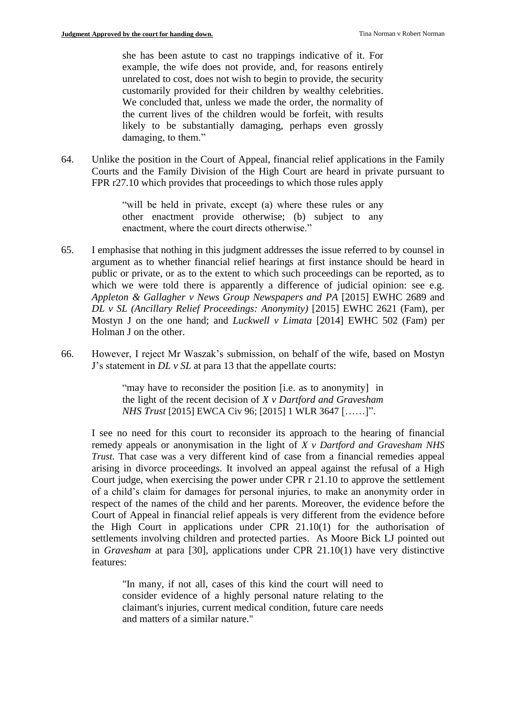she has been astute to cast no trappings indicative of it. For example, the wife does not provide, and, for reasons entirely unrelated to cost, does not wish to begin to provide, the security customarily provided for their children by wealthy celebrities. We concluded that, unless we made the order, the normality of the current lives of the children would be forfeit, with results likely to be substantially damaging, perhaps even grossly damaging, to them."

64. Unlike the position in the Court of Appeal, financial relief applications in the Family Courts and the Family Division of the High Court are heard in private pursuant to FPR r27.10 which provides that proceedings to which those rules apply

> "will be held in private, except (a) where these rules or any other enactment provide otherwise; (b) subject to any enactment, where the court directs otherwise."

- 65. I emphasise that nothing in this judgment addresses the issue referred to by counsel in argument as to whether financial relief hearings at first instance should be heard in public or private, or as to the extent to which such proceedings can be reported, as to which we were told there is apparently a difference of judicial opinion: see e.g. *Appleton & Gallagher v News Group Newspapers and PA* [2015] EWHC 2689 and *DL v SL (Ancillary Relief Proceedings: Anonymity)* [2015] EWHC 2621 (Fam), per Mostyn J on the one hand; and *Luckwell v Limata* [2014] EWHC 502 (Fam) per Holman J on the other.
- 66. However, I reject Mr Waszak's submission, on behalf of the wife, based on Mostyn J's statement in *DL v SL* at para 13 that the appellate courts:

"may have to reconsider the position [i.e. as to anonymity] in the light of the recent decision of *X v Dartford and Gravesham NHS Trust* [2015] EWCA Civ 96; [2015] 1 WLR 3647 [……]".

I see no need for this court to reconsider its approach to the hearing of financial remedy appeals or anonymisation in the light of *X v Dartford and Gravesham NHS Trust.* That case was a very different kind of case from a financial remedies appeal arising in divorce proceedings. It involved an appeal against the refusal of a High Court judge, when exercising the power under CPR r 21.10 to approve the settlement of a child's claim for damages for personal injuries, to make an anonymity order in respect of the names of the child and her parents. Moreover, the evidence before the Court of Appeal in financial relief appeals is very different from the evidence before the High Court in applications under CPR 21.10(1) for the authorisation of settlements involving children and protected parties. As Moore Bick LJ pointed out in *Gravesham* at para [30], applications under CPR 21.10(1) have very distinctive features:

"In many, if not all, cases of this kind the court will need to consider evidence of a highly personal nature relating to the claimant's injuries, current medical condition, future care needs and matters of a similar nature."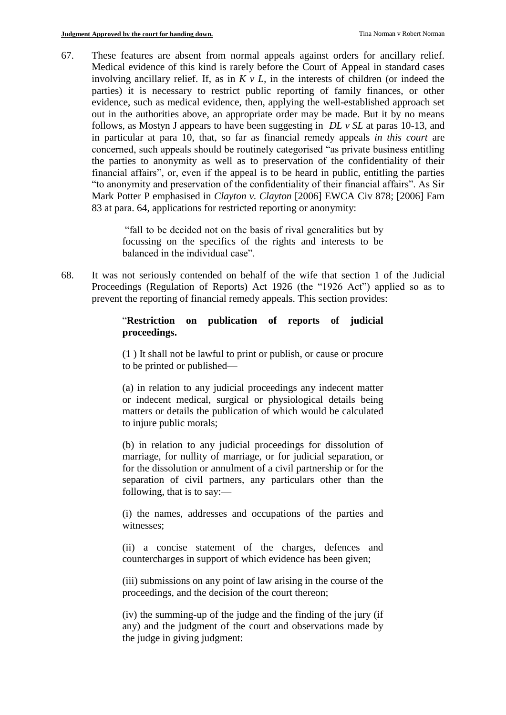67. These features are absent from normal appeals against orders for ancillary relief. Medical evidence of this kind is rarely before the Court of Appeal in standard cases involving ancillary relief. If, as in *K v L,* in the interests of children (or indeed the parties) it is necessary to restrict public reporting of family finances, or other evidence, such as medical evidence, then, applying the well-established approach set out in the authorities above, an appropriate order may be made. But it by no means follows, as Mostyn J appears to have been suggesting in *DL v SL* at paras 10-13, and in particular at para 10, that, so far as financial remedy appeals *in this court* are concerned, such appeals should be routinely categorised "as private business entitling the parties to anonymity as well as to preservation of the confidentiality of their financial affairs", or, even if the appeal is to be heard in public, entitling the parties "to anonymity and preservation of the confidentiality of their financial affairs". As Sir Mark Potter P emphasised in *Clayton v. Clayton* [2006] EWCA Civ 878; [2006] Fam 83 at para. 64, applications for restricted reporting or anonymity:

> "fall to be decided not on the basis of rival generalities but by focussing on the specifics of the rights and interests to be balanced in the individual case".

68. It was not seriously contended on behalf of the wife that section 1 of the Judicial Proceedings (Regulation of Reports) Act 1926 (the "1926 Act") applied so as to prevent the reporting of financial remedy appeals. This section provides:

## "**Restriction on publication of reports of judicial proceedings.**

(1 ) It shall not be lawful to print or publish, or cause or procure to be printed or published—

(a) in relation to any judicial proceedings any indecent matter or indecent medical, surgical or physiological details being matters or details the publication of which would be calculated to injure public morals;

(b) in relation to any judicial proceedings for dissolution of marriage, for nullity of marriage, or for judicial separation, or for the dissolution or annulment of a civil partnership or for the separation of civil partners, any particulars other than the following, that is to say:—

(i) the names, addresses and occupations of the parties and witnesses;

(ii) a concise statement of the charges, defences and countercharges in support of which evidence has been given;

(iii) submissions on any point of law arising in the course of the proceedings, and the decision of the court thereon;

(iv) the summing-up of the judge and the finding of the jury (if any) and the judgment of the court and observations made by the judge in giving judgment: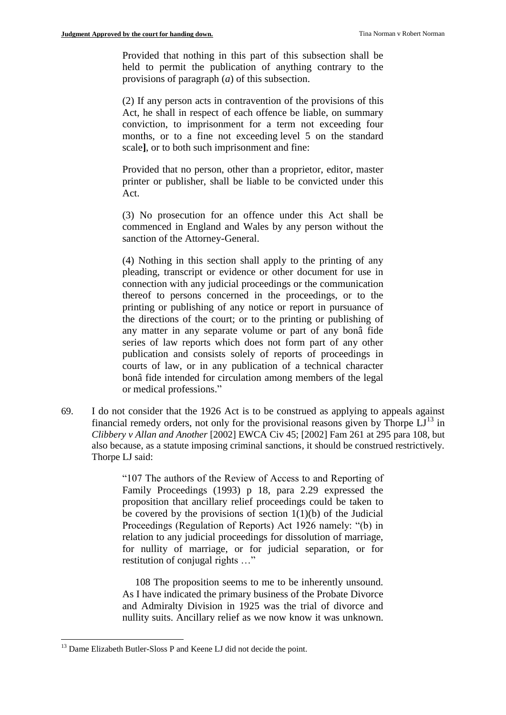Provided that nothing in this part of this subsection shall be held to permit the publication of anything contrary to the provisions of paragraph (*a*) of this subsection.

(2) If any person acts in contravention of the provisions of this Act, he shall in respect of each offence be liable, on summary conviction, to imprisonment for a term not exceeding four months, or to a fine not exceeding level 5 on the standard scale**]**, or to both such imprisonment and fine:

Provided that no person, other than a proprietor, editor, master printer or publisher, shall be liable to be convicted under this Act.

(3) No prosecution for an offence under this Act shall be commenced in England and Wales by any person without the sanction of the Attorney-General.

(4) Nothing in this section shall apply to the printing of any pleading, transcript or evidence or other document for use in connection with any judicial proceedings or the communication thereof to persons concerned in the proceedings, or to the printing or publishing of any notice or report in pursuance of the directions of the court; or to the printing or publishing of any matter in any separate volume or part of any bonâ fide series of law reports which does not form part of any other publication and consists solely of reports of proceedings in courts of law, or in any publication of a technical character bonâ fide intended for circulation among members of the legal or medical professions."

69. I do not consider that the 1926 Act is to be construed as applying to appeals against financial remedy orders, not only for the provisional reasons given by Thorpe  $LJ<sup>13</sup>$  in *Clibbery v Allan and Another* [2002] EWCA Civ 45; [2002] Fam 261 at 295 para 108, but also because, as a statute imposing criminal sanctions, it should be construed restrictively. Thorpe LJ said:

> "107 The authors of the Review of Access to and Reporting of Family Proceedings (1993) p 18, para 2.29 expressed the proposition that ancillary relief proceedings could be taken to be covered by the provisions of section  $1(1)(b)$  of the Judicial Proceedings (Regulation of Reports) Act 1926 namely: "(b) in relation to any judicial proceedings for dissolution of marriage, for nullity of marriage, or for judicial separation, or for restitution of conjugal rights …"

> 108 The proposition seems to me to be inherently unsound. As I have indicated the primary business of the Probate Divorce and Admiralty Division in 1925 was the trial of divorce and nullity suits. Ancillary relief as we now know it was unknown.

1

<sup>&</sup>lt;sup>13</sup> Dame Elizabeth Butler-Sloss P and Keene LJ did not decide the point.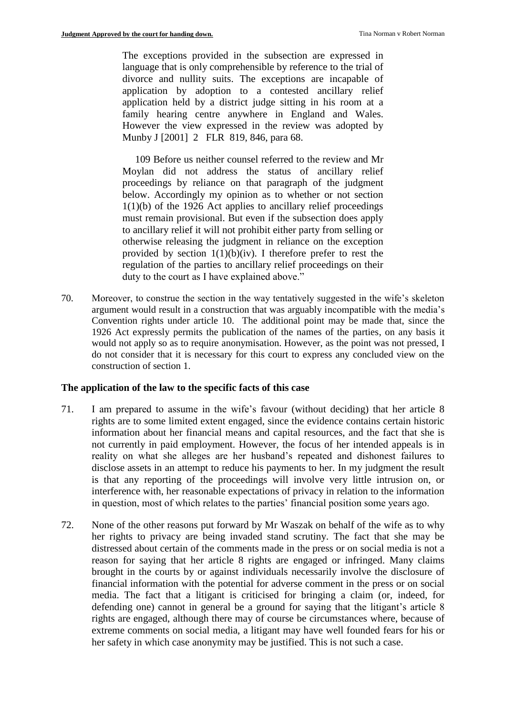The exceptions provided in the subsection are expressed in language that is only comprehensible by reference to the trial of divorce and nullity suits. The exceptions are incapable of application by adoption to a contested ancillary relief application held by a district judge sitting in his room at a family hearing centre anywhere in England and Wales. However the view expressed in the review was adopted by Munby J [2001] 2 FLR 819, 846, para 68.

 109 Before us neither counsel referred to the review and Mr Moylan did not address the status of ancillary relief proceedings by reliance on that paragraph of the judgment below. Accordingly my opinion as to whether or not section 1(1)(b) of the 1926 Act applies to ancillary relief proceedings must remain provisional. But even if the subsection does apply to ancillary relief it will not prohibit either party from selling or otherwise releasing the judgment in reliance on the exception provided by section  $1(1)(b)(iv)$ . I therefore prefer to rest the regulation of the parties to ancillary relief proceedings on their duty to the court as I have explained above."

70. Moreover, to construe the section in the way tentatively suggested in the wife's skeleton argument would result in a construction that was arguably incompatible with the media's Convention rights under article 10. The additional point may be made that, since the 1926 Act expressly permits the publication of the names of the parties, on any basis it would not apply so as to require anonymisation. However, as the point was not pressed, I do not consider that it is necessary for this court to express any concluded view on the construction of section 1.

### **The application of the law to the specific facts of this case**

- 71. I am prepared to assume in the wife's favour (without deciding) that her article 8 rights are to some limited extent engaged, since the evidence contains certain historic information about her financial means and capital resources, and the fact that she is not currently in paid employment. However, the focus of her intended appeals is in reality on what she alleges are her husband's repeated and dishonest failures to disclose assets in an attempt to reduce his payments to her. In my judgment the result is that any reporting of the proceedings will involve very little intrusion on, or interference with, her reasonable expectations of privacy in relation to the information in question, most of which relates to the parties' financial position some years ago.
- 72. None of the other reasons put forward by Mr Waszak on behalf of the wife as to why her rights to privacy are being invaded stand scrutiny. The fact that she may be distressed about certain of the comments made in the press or on social media is not a reason for saying that her article 8 rights are engaged or infringed. Many claims brought in the courts by or against individuals necessarily involve the disclosure of financial information with the potential for adverse comment in the press or on social media. The fact that a litigant is criticised for bringing a claim (or, indeed, for defending one) cannot in general be a ground for saying that the litigant's article 8 rights are engaged, although there may of course be circumstances where, because of extreme comments on social media, a litigant may have well founded fears for his or her safety in which case anonymity may be justified. This is not such a case.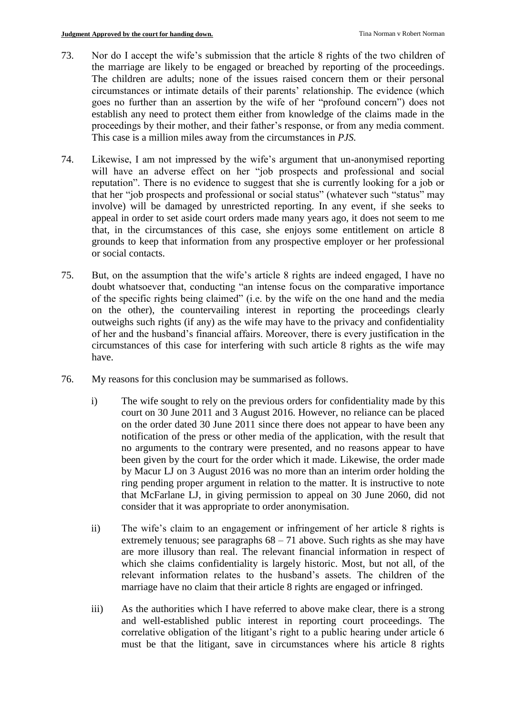- 73. Nor do I accept the wife's submission that the article 8 rights of the two children of the marriage are likely to be engaged or breached by reporting of the proceedings. The children are adults; none of the issues raised concern them or their personal circumstances or intimate details of their parents' relationship. The evidence (which goes no further than an assertion by the wife of her "profound concern") does not establish any need to protect them either from knowledge of the claims made in the proceedings by their mother, and their father's response, or from any media comment. This case is a million miles away from the circumstances in *PJS.*
- 74. Likewise, I am not impressed by the wife's argument that un-anonymised reporting will have an adverse effect on her "job prospects and professional and social reputation". There is no evidence to suggest that she is currently looking for a job or that her "job prospects and professional or social status" (whatever such "status" may involve) will be damaged by unrestricted reporting. In any event, if she seeks to appeal in order to set aside court orders made many years ago, it does not seem to me that, in the circumstances of this case, she enjoys some entitlement on article 8 grounds to keep that information from any prospective employer or her professional or social contacts.
- 75. But, on the assumption that the wife's article 8 rights are indeed engaged, I have no doubt whatsoever that, conducting "an intense focus on the comparative importance of the specific rights being claimed" (i.e. by the wife on the one hand and the media on the other), the countervailing interest in reporting the proceedings clearly outweighs such rights (if any) as the wife may have to the privacy and confidentiality of her and the husband's financial affairs. Moreover, there is every justification in the circumstances of this case for interfering with such article 8 rights as the wife may have.
- 76. My reasons for this conclusion may be summarised as follows.
	- i) The wife sought to rely on the previous orders for confidentiality made by this court on 30 June 2011 and 3 August 2016. However, no reliance can be placed on the order dated 30 June 2011 since there does not appear to have been any notification of the press or other media of the application, with the result that no arguments to the contrary were presented, and no reasons appear to have been given by the court for the order which it made. Likewise, the order made by Macur LJ on 3 August 2016 was no more than an interim order holding the ring pending proper argument in relation to the matter. It is instructive to note that McFarlane LJ, in giving permission to appeal on 30 June 2060, did not consider that it was appropriate to order anonymisation.
	- ii) The wife's claim to an engagement or infringement of her article 8 rights is extremely tenuous; see paragraphs  $68 - 71$  above. Such rights as she may have are more illusory than real. The relevant financial information in respect of which she claims confidentiality is largely historic. Most, but not all, of the relevant information relates to the husband's assets. The children of the marriage have no claim that their article 8 rights are engaged or infringed.
	- iii) As the authorities which I have referred to above make clear, there is a strong and well-established public interest in reporting court proceedings. The correlative obligation of the litigant's right to a public hearing under article 6 must be that the litigant, save in circumstances where his article 8 rights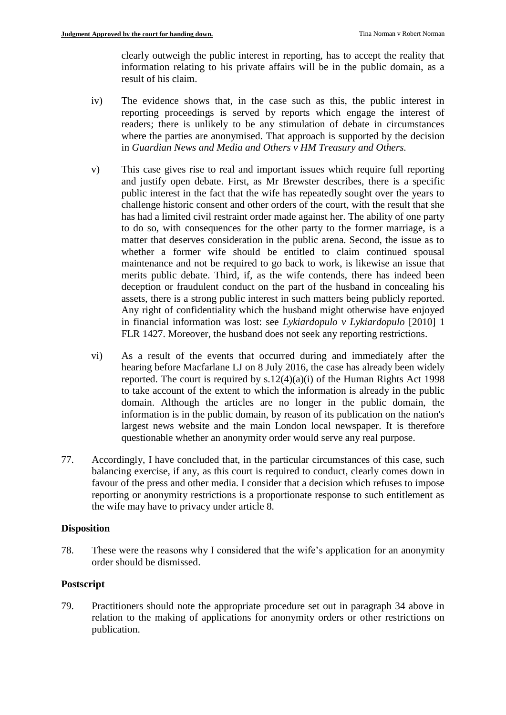clearly outweigh the public interest in reporting, has to accept the reality that information relating to his private affairs will be in the public domain, as a result of his claim.

- iv) The evidence shows that, in the case such as this, the public interest in reporting proceedings is served by reports which engage the interest of readers; there is unlikely to be any stimulation of debate in circumstances where the parties are anonymised. That approach is supported by the decision in *Guardian News and Media and Others v HM Treasury and Others.*
- v) This case gives rise to real and important issues which require full reporting and justify open debate. First, as Mr Brewster describes, there is a specific public interest in the fact that the wife has repeatedly sought over the years to challenge historic consent and other orders of the court, with the result that she has had a limited civil restraint order made against her. The ability of one party to do so, with consequences for the other party to the former marriage, is a matter that deserves consideration in the public arena. Second, the issue as to whether a former wife should be entitled to claim continued spousal maintenance and not be required to go back to work, is likewise an issue that merits public debate. Third, if, as the wife contends, there has indeed been deception or fraudulent conduct on the part of the husband in concealing his assets, there is a strong public interest in such matters being publicly reported. Any right of confidentiality which the husband might otherwise have enjoyed in financial information was lost: see *Lykiardopulo v Lykiardopulo* [2010] 1 FLR 1427. Moreover, the husband does not seek any reporting restrictions.
- vi) As a result of the events that occurred during and immediately after the hearing before Macfarlane LJ on 8 July 2016, the case has already been widely reported. The court is required by s.12(4)(a)(i) of the Human Rights Act 1998 to take account of the extent to which the information is already in the public domain. Although the articles are no longer in the public domain, the information is in the public domain, by reason of its publication on the nation's largest news website and the main London local newspaper. It is therefore questionable whether an anonymity order would serve any real purpose.
- 77. Accordingly, I have concluded that, in the particular circumstances of this case, such balancing exercise, if any, as this court is required to conduct, clearly comes down in favour of the press and other media. I consider that a decision which refuses to impose reporting or anonymity restrictions is a proportionate response to such entitlement as the wife may have to privacy under article 8.

### **Disposition**

78. These were the reasons why I considered that the wife's application for an anonymity order should be dismissed.

### **Postscript**

79. Practitioners should note the appropriate procedure set out in paragraph 34 above in relation to the making of applications for anonymity orders or other restrictions on publication.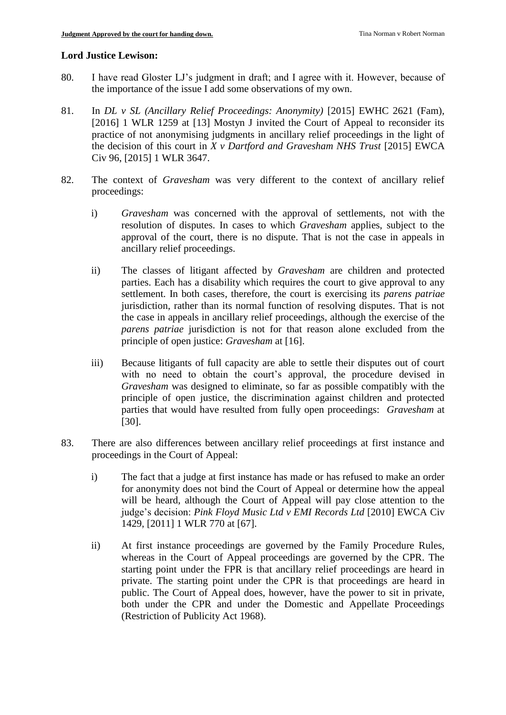#### **Lord Justice Lewison:**

- 80. I have read Gloster LJ's judgment in draft; and I agree with it. However, because of the importance of the issue I add some observations of my own.
- 81. In *DL v SL (Ancillary Relief Proceedings: Anonymity)* [2015] EWHC 2621 (Fam), [2016] 1 WLR 1259 at [13] Mostyn J invited the Court of Appeal to reconsider its practice of not anonymising judgments in ancillary relief proceedings in the light of the decision of this court in *X v Dartford and Gravesham NHS Trust* [2015] EWCA Civ 96, [2015] 1 WLR 3647.
- 82. The context of *Gravesham* was very different to the context of ancillary relief proceedings:
	- i) *Gravesham* was concerned with the approval of settlements, not with the resolution of disputes. In cases to which *Gravesham* applies, subject to the approval of the court, there is no dispute. That is not the case in appeals in ancillary relief proceedings.
	- ii) The classes of litigant affected by *Gravesham* are children and protected parties. Each has a disability which requires the court to give approval to any settlement. In both cases, therefore, the court is exercising its *parens patriae* jurisdiction, rather than its normal function of resolving disputes. That is not the case in appeals in ancillary relief proceedings, although the exercise of the *parens patriae* jurisdiction is not for that reason alone excluded from the principle of open justice: *Gravesham* at [16].
	- iii) Because litigants of full capacity are able to settle their disputes out of court with no need to obtain the court's approval, the procedure devised in *Gravesham* was designed to eliminate, so far as possible compatibly with the principle of open justice, the discrimination against children and protected parties that would have resulted from fully open proceedings: *Gravesham* at [30].
- 83. There are also differences between ancillary relief proceedings at first instance and proceedings in the Court of Appeal:
	- i) The fact that a judge at first instance has made or has refused to make an order for anonymity does not bind the Court of Appeal or determine how the appeal will be heard, although the Court of Appeal will pay close attention to the judge's decision: *Pink Floyd Music Ltd v EMI Records Ltd* [2010] EWCA Civ 1429, [2011] 1 WLR 770 at [67].
	- ii) At first instance proceedings are governed by the Family Procedure Rules, whereas in the Court of Appeal proceedings are governed by the CPR. The starting point under the FPR is that ancillary relief proceedings are heard in private. The starting point under the CPR is that proceedings are heard in public. The Court of Appeal does, however, have the power to sit in private, both under the CPR and under the Domestic and Appellate Proceedings (Restriction of Publicity Act 1968).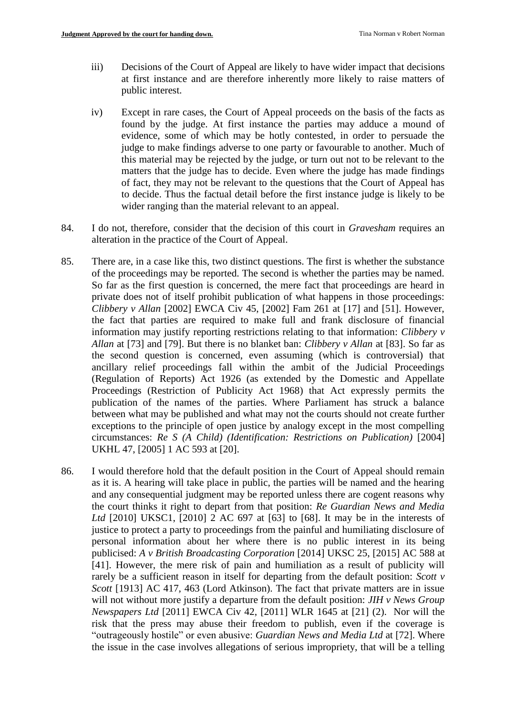- iii) Decisions of the Court of Appeal are likely to have wider impact that decisions at first instance and are therefore inherently more likely to raise matters of public interest.
- iv) Except in rare cases, the Court of Appeal proceeds on the basis of the facts as found by the judge. At first instance the parties may adduce a mound of evidence, some of which may be hotly contested, in order to persuade the judge to make findings adverse to one party or favourable to another. Much of this material may be rejected by the judge, or turn out not to be relevant to the matters that the judge has to decide. Even where the judge has made findings of fact, they may not be relevant to the questions that the Court of Appeal has to decide. Thus the factual detail before the first instance judge is likely to be wider ranging than the material relevant to an appeal.
- 84. I do not, therefore, consider that the decision of this court in *Gravesham* requires an alteration in the practice of the Court of Appeal.
- 85. There are, in a case like this, two distinct questions. The first is whether the substance of the proceedings may be reported. The second is whether the parties may be named. So far as the first question is concerned, the mere fact that proceedings are heard in private does not of itself prohibit publication of what happens in those proceedings: *Clibbery v Allan* [2002] EWCA Civ 45, [2002] Fam 261 at [17] and [51]. However, the fact that parties are required to make full and frank disclosure of financial information may justify reporting restrictions relating to that information: *Clibbery v Allan* at [73] and [79]. But there is no blanket ban: *Clibbery v Allan* at [83]. So far as the second question is concerned, even assuming (which is controversial) that ancillary relief proceedings fall within the ambit of the Judicial Proceedings (Regulation of Reports) Act 1926 (as extended by the Domestic and Appellate Proceedings (Restriction of Publicity Act 1968) that Act expressly permits the publication of the names of the parties. Where Parliament has struck a balance between what may be published and what may not the courts should not create further exceptions to the principle of open justice by analogy except in the most compelling circumstances: *Re S (A Child) (Identification: Restrictions on Publication)* [2004] UKHL 47, [2005] 1 AC 593 at [20].
- 86. I would therefore hold that the default position in the Court of Appeal should remain as it is. A hearing will take place in public, the parties will be named and the hearing and any consequential judgment may be reported unless there are cogent reasons why the court thinks it right to depart from that position: *Re Guardian News and Media Ltd* [2010] UKSC1, [2010] 2 AC 697 at [63] to [68]. It may be in the interests of justice to protect a party to proceedings from the painful and humiliating disclosure of personal information about her where there is no public interest in its being publicised: *A v British Broadcasting Corporation* [2014] UKSC 25, [2015] AC 588 at [41]. However, the mere risk of pain and humiliation as a result of publicity will rarely be a sufficient reason in itself for departing from the default position: *Scott v Scott* [1913] AC 417, 463 (Lord Atkinson). The fact that private matters are in issue will not without more justify a departure from the default position: *JIH v News Group Newspapers Ltd* [2011] EWCA Civ 42, [2011] WLR 1645 at [21] (2). Nor will the risk that the press may abuse their freedom to publish, even if the coverage is "outrageously hostile" or even abusive: *Guardian News and Media Ltd* at [72]. Where the issue in the case involves allegations of serious impropriety, that will be a telling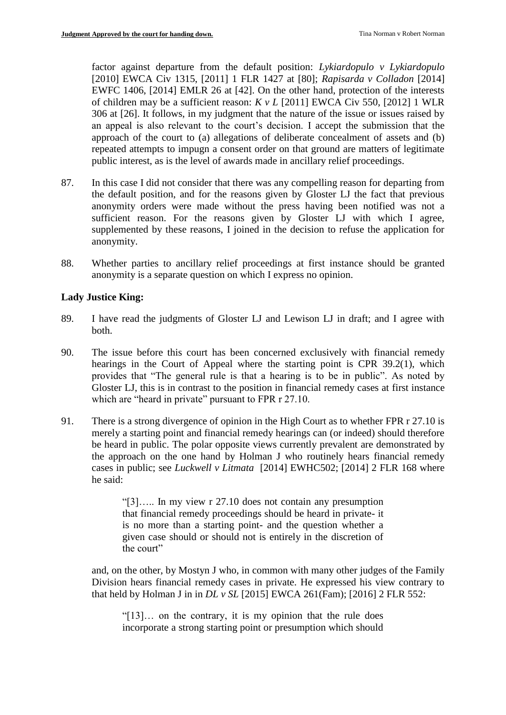factor against departure from the default position: *Lykiardopulo v Lykiardopulo* [2010] EWCA Civ 1315, [2011] 1 FLR 1427 at [80]; *Rapisarda v Colladon* [2014] EWFC 1406, [2014] EMLR 26 at [42]. On the other hand, protection of the interests of children may be a sufficient reason: *K v L* [2011] EWCA Civ 550, [2012] 1 WLR 306 at [26]. It follows, in my judgment that the nature of the issue or issues raised by an appeal is also relevant to the court's decision. I accept the submission that the approach of the court to (a) allegations of deliberate concealment of assets and (b) repeated attempts to impugn a consent order on that ground are matters of legitimate public interest, as is the level of awards made in ancillary relief proceedings.

- 87. In this case I did not consider that there was any compelling reason for departing from the default position, and for the reasons given by Gloster LJ the fact that previous anonymity orders were made without the press having been notified was not a sufficient reason. For the reasons given by Gloster LJ with which I agree, supplemented by these reasons, I joined in the decision to refuse the application for anonymity.
- 88. Whether parties to ancillary relief proceedings at first instance should be granted anonymity is a separate question on which I express no opinion.

# **Lady Justice King:**

- 89. I have read the judgments of Gloster LJ and Lewison LJ in draft; and I agree with both.
- 90. The issue before this court has been concerned exclusively with financial remedy hearings in the Court of Appeal where the starting point is CPR 39.2(1), which provides that "The general rule is that a hearing is to be in public". As noted by Gloster LJ, this is in contrast to the position in financial remedy cases at first instance which are "heard in private" pursuant to FPR r 27.10.
- 91. There is a strong divergence of opinion in the High Court as to whether FPR r 27.10 is merely a starting point and financial remedy hearings can (or indeed) should therefore be heard in public. The polar opposite views currently prevalent are demonstrated by the approach on the one hand by Holman J who routinely hears financial remedy cases in public; see *Luckwell v Litmata* [2014] EWHC502; [2014] 2 FLR 168 where he said:

"[3]….. In my view r 27.10 does not contain any presumption that financial remedy proceedings should be heard in private- it is no more than a starting point- and the question whether a given case should or should not is entirely in the discretion of the court"

and, on the other, by Mostyn J who, in common with many other judges of the Family Division hears financial remedy cases in private. He expressed his view contrary to that held by Holman J in in *DL v SL* [2015] EWCA 261(Fam); [2016] 2 FLR 552:

"[13]… on the contrary, it is my opinion that the rule does incorporate a strong starting point or presumption which should